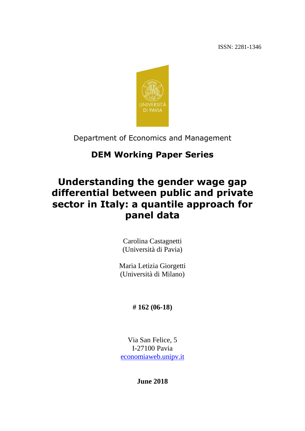ISSN: 2281-1346



Department of Economics and Management

## **DEM Working Paper Series**

# **Understanding the gender wage gap differential between public and private sector in Italy: a quantile approach for panel data**

Carolina Castagnetti (Università di Pavia)

Maria Letizia Giorgetti (Università di Milano)

## **# 162 (06-18)**

Via San Felice, 5 I-27100 Pavia [economiaweb.unipv.it](http://economiaweb.unipv.it/)

**June 2018**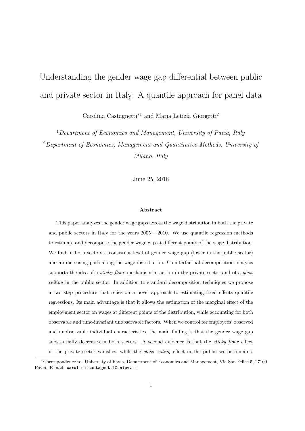# Understanding the gender wage gap differential between public and private sector in Italy: A quantile approach for panel data

Carolina Castagnetti*∗*<sup>1</sup> and Maria Letizia Giorgetti<sup>2</sup>

<sup>1</sup>*Department of Economics and Management, University of Pavia, Italy* <sup>2</sup>*Department of Economics, Management and Quantitative Methods, University of Milano, Italy*

June 25, 2018

#### **Abstract**

This paper analyzes the gender wage gaps across the wage distribution in both the private and public sectors in Italy for the years 2005 *−* 2010. We use quantile regression methods to estimate and decompose the gender wage gap at different points of the wage distribution. We find in both sectors a consistent level of gender wage gap (lower in the public sector) and an increasing path along the wage distribution. Counterfactual decomposition analysis supports the idea of a *sticky floor* mechanism in action in the private sector and of a *glass ceiling* in the public sector. In addition to standard decomposition techniques we propose a two step procedure that relies on a novel approach to estimating fixed effects quantile regressions. Its main advantage is that it allows the estimation of the marginal effect of the employment sector on wages at different points of the distribution, while accounting for both observable and time-invariant unobservable factors. When we control for employees' observed and unobservable individual characteristics, the main finding is that the gender wage gap substantially decreases in both sectors. A second evidence is that the *sticky floor* effect in the private sector vanishes, while the *glass ceiling* effect in the public sector remains.

*<sup>∗</sup>*Correspondence to: University of Pavia, Department of Economics and Management, Via San Felice 5, 27100 Pavia. E-mail: carolina.castagnetti@unipv.it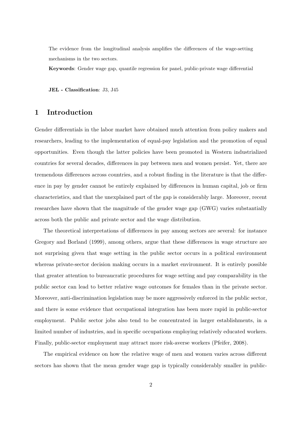The evidence from the longitudinal analysis amplifies the differences of the wage-setting mechanisms in the two sectors.

**Keywords**: Gender wage gap, quantile regression for panel, public-private wage differential

**JEL - Classification**: J3, J45

## **1 Introduction**

Gender differentials in the labor market have obtained much attention from policy makers and researchers, leading to the implementation of equal-pay legislation and the promotion of equal opportunities. Even though the latter policies have been promoted in Western industrialized countries for several decades, differences in pay between men and women persist. Yet, there are tremendous differences across countries, and a robust finding in the literature is that the difference in pay by gender cannot be entirely explained by differences in human capital, job or firm characteristics, and that the unexplained part of the gap is considerably large. Moreover, recent researches have shown that the magnitude of the gender wage gap (GWG) varies substantially across both the public and private sector and the wage distribution.

The theoretical interpretations of differences in pay among sectors are several: for instance Gregory and Borland (1999), among others, argue that these differences in wage structure are not surprising given that wage setting in the public sector occurs in a political environment whereas private-sector decision making occurs in a market environment. It is entirely possible that greater attention to bureaucratic procedures for wage setting and pay comparability in the public sector can lead to better relative wage outcomes for females than in the private sector. Moreover, anti-discrimination legislation may be more aggressively enforced in the public sector, and there is some evidence that occupational integration has been more rapid in public-sector employment. Public sector jobs also tend to be concentrated in larger establishments, in a limited number of industries, and in specific occupations employing relatively educated workers. Finally, public-sector employment may attract more risk-averse workers (Pfeifer, 2008).

The empirical evidence on how the relative wage of men and women varies across different sectors has shown that the mean gender wage gap is typically considerably smaller in public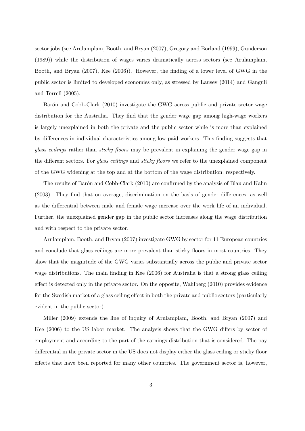sector jobs (see Arulamplam, Booth, and Bryan (2007), Gregory and Borland (1999), Gunderson (1989)) while the distribution of wages varies dramatically across sectors (see Arulamplam, Booth, and Bryan (2007), Kee (2006)). However, the finding of a lower level of GWG in the public sector is limited to developed economies only, as stressed by Lausev (2014) and Ganguli and Terrell (2005).

Barón and Cobb-Clark (2010) investigate the GWG across public and private sector wage distribution for the Australia. They find that the gender wage gap among high-wage workers is largely unexplained in both the private and the public sector while is more than explained by differences in individual characteristics among low-paid workers. This finding suggests that *glass ceilings* rather than *sticky floors* may be prevalent in explaining the gender wage gap in the different sectors. For *glass ceilings* and *sticky floors* we refer to the unexplained component of the GWG widening at the top and at the bottom of the wage distribution, respectively.

The results of Barón and Cobb-Clark (2010) are confirmed by the analysis of Blau and Kahn (2003). They find that on average, discrimination on the basis of gender differences, as well as the differential between male and female wage increase over the work life of an individual. Further, the unexplained gender gap in the public sector increases along the wage distribution and with respect to the private sector.

Arulamplam, Booth, and Bryan (2007) investigate GWG by sector for 11 European countries and conclude that glass ceilings are more prevalent than sticky floors in most countries. They show that the magnitude of the GWG varies substantially across the public and private sector wage distributions. The main finding in Kee (2006) for Australia is that a strong glass ceiling effect is detected only in the private sector. On the opposite, Wahlberg (2010) provides evidence for the Swedish market of a glass ceiling effect in both the private and public sectors (particularly evident in the public sector).

Miller (2009) extends the line of inquiry of Arulamplam, Booth, and Bryan (2007) and Kee (2006) to the US labor market. The analysis shows that the GWG differs by sector of employment and according to the part of the earnings distribution that is considered. The pay differential in the private sector in the US does not display either the glass ceiling or sticky floor effects that have been reported for many other countries. The government sector is, however,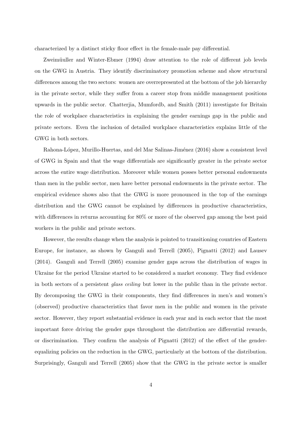characterized by a distinct sticky floor effect in the female-male pay differential.

Zweimüuller and Winter-Ebmer (1994) draw attention to the role of different job levels on the GWG in Austria. They identify discriminatory promotion scheme and show structural differences among the two sectors: women are overrepresented at the bottom of the job hierarchy in the private sector, while they suffer from a career stop from middle management positions upwards in the public sector. Chatterjia, Mumfordb, and Smith (2011) investigate for Britain the role of workplace characteristics in explaining the gender earnings gap in the public and private sectors. Even the inclusion of detailed workplace characteristics explains little of the GWG in both sectors.

Rahona-López, Murillo-Huertas, and del Mar Salinas-Jiménez (2016) show a consistent level of GWG in Spain and that the wage differentials are significantly greater in the private sector across the entire wage distribution. Moreover while women posses better personal endowments than men in the public sector, men have better personal endowments in the private sector. The empirical evidence shows also that the GWG is more pronounced in the top of the earnings distribution and the GWG cannot be explained by differences in productive characteristics, with differences in returns accounting for 80% or more of the observed gap among the best paid workers in the public and private sectors.

However, the results change when the analysis is pointed to transitioning countries of Eastern Europe, for instance, as shown by Ganguli and Terrell (2005), Pignatti (2012) and Lausev (2014). Ganguli and Terrell (2005) examine gender gaps across the distribution of wages in Ukraine for the period Ukraine started to be considered a market economy. They find evidence in both sectors of a persistent *glass ceiling* but lower in the public than in the private sector. By decomposing the GWG in their components, they find differences in men's and women's (observed) productive characteristics that favor men in the public and women in the private sector. However, they report substantial evidence in each year and in each sector that the most important force driving the gender gaps throughout the distribution are differential rewards, or discrimination. They confirm the analysis of Pignatti (2012) of the effect of the genderequalizing policies on the reduction in the GWG, particularly at the bottom of the distribution. Surprisingly, Ganguli and Terrell (2005) show that the GWG in the private sector is smaller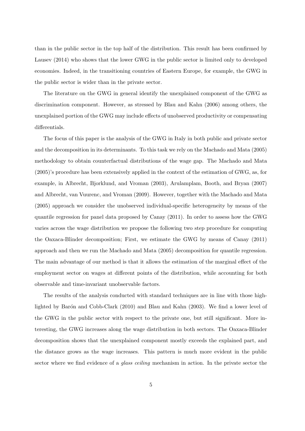than in the public sector in the top half of the distribution. This result has been confirmed by Lausev (2014) who shows that the lower GWG in the public sector is limited only to developed economies. Indeed, in the transitioning countries of Eastern Europe, for example, the GWG in the public sector is wider than in the private sector.

The literature on the GWG in general identify the unexplained component of the GWG as discrimination component. However, as stressed by Blau and Kahn (2006) among others, the unexplained portion of the GWG may include effects of unobserved productivity or compensating differentials.

The focus of this paper is the analysis of the GWG in Italy in both public and private sector and the decomposition in its determinants. To this task we rely on the Machado and Mata (2005) methodology to obtain counterfactual distributions of the wage gap. The Machado and Mata (2005)'s procedure has been extensively applied in the context of the estimation of GWG, as, for example, in Albrecht, Bjorklund, and Vroman (2003), Arulamplam, Booth, and Bryan (2007) and Albrecht, van Vuurenc, and Vroman (2009). However, together with the Machado and Mata (2005) approach we consider the unobserved individual-specific heterogeneity by means of the quantile regression for panel data proposed by Canay (2011). In order to assess how the GWG varies across the wage distribution we propose the following two step procedure for computing the Oaxaca-Blinder decomposition; First, we estimate the GWG by means of Canay (2011) approach and then we run the Machado and Mata (2005) decomposition for quantile regression. The main advantage of our method is that it allows the estimation of the marginal effect of the employment sector on wages at different points of the distribution, while accounting for both observable and time-invariant unobservable factors.

The results of the analysis conducted with standard techniques are in line with those highlighted by Barón and Cobb-Clark (2010) and Blau and Kahn (2003). We find a lower level of the GWG in the public sector with respect to the private one, but still significant. More interesting, the GWG increases along the wage distribution in both sectors. The Oaxaca-Blinder decomposition shows that the unexplained component mostly exceeds the explained part, and the distance grows as the wage increases. This pattern is much more evident in the public sector where we find evidence of a *glass ceiling* mechanism in action. In the private sector the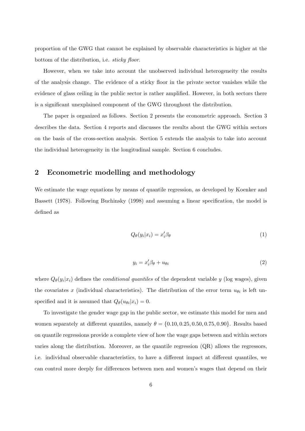proportion of the GWG that cannot be explained by observable characteristics is higher at the bottom of the distribution, i.e. *sticky floor*.

However, when we take into account the unobserved individual heterogeneity the results of the analysis change. The evidence of a sticky floor in the private sector vanishes while the evidence of glass ceiling in the public sector is rather amplified. However, in both sectors there is a significant unexplained component of the GWG throughout the distribution.

The paper is organized as follows. Section 2 presents the econometric approach. Section 3 describes the data. Section 4 reports and discusses the results about the GWG within sectors on the basis of the cross-section analysis. Section 5 extends the analysis to take into account the individual heterogeneity in the longitudinal sample. Section 6 concludes.

#### **2 Econometric modelling and methodology**

We estimate the wage equations by means of quantile regression, as developed by Koenker and Bassett (1978). Following Buchinsky (1998) and assuming a linear specification, the model is defined as

$$
Q_{\theta}(y_i|x_i) = x_i' \beta_{\theta} \tag{1}
$$

$$
y_i = x_i'\beta_\theta + u_{\theta i} \tag{2}
$$

where  $Q_{\theta}(y_i|x_i)$  defines the *conditional quantiles* of the dependent variable *y* (log wages), given the covariates *x* (individual characteristics). The distribution of the error term  $u_{\theta i}$  is left unspecified and it is assumed that  $Q_{\theta}(u_{\theta i}|x_i) = 0$ .

To investigate the gender wage gap in the public sector, we estimate this model for men and women separately at different quantiles, namely  $\theta = \{0.10, 0.25, 0.50, 0.75, 0.90\}$ . Results based on quantile regressions provide a complete view of how the wage gaps between and within sectors varies along the distribution. Moreover, as the quantile regression  $(QR)$  allows the regressors, i.e. individual observable characteristics, to have a different impact at different quantiles, we can control more deeply for differences between men and women's wages that depend on their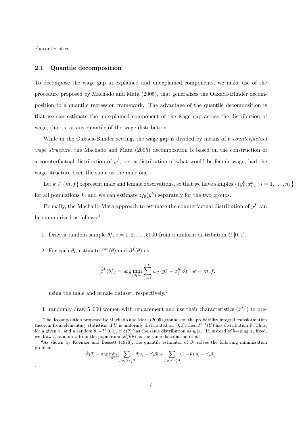characteristics.

.

#### **2.1 Quantile decomposition**

To decompose the wage gap in explained and unexplained components, we make use of the procedure proposed by Machado and Mata (2005), that generalizes the Oaxaca-Blinder decomposition to a quantile regression framework. The advantage of the quantile decomposition is that we can estimate the unexplained component of the wage gap across the distribution of wage, that is, at any quantile of the wage distribution.

While in the Oaxaca-Blinder setting, the wage gap is divided by means of a *counterfactual wage structure*, the Machado and Mata (2005) decomposition is based on the construction of a counterfactual distribution of  $y<sup>f</sup>$ , i.e. a distribution of what would be female wage, had the wage structure been the same as the male one.

Let  $k \in \{m, f\}$  represent male and female observations, so that we have samples  $\{(y_i^k, x_i^k) : i = 1, \ldots, n_k\}$ for all populations *k*, and we can estimate  $Q_{\theta}(y^k)$  separately for the two groups.

Formally, the Machado-Mata approach to estimate the counterfactual distribution of  $y<sup>f</sup>$  can be summarized as follows:<sup>1</sup>

- 1. Draw a random sample  $\theta_i^*$ ,  $i = 1, 2, \ldots, 5000$  from a uniform distribution  $U[0, 1]$ .
- 2. For each  $\theta_i$ , estimate  $\beta^m(\theta)$  and  $\beta^f(\theta)$  as

$$
\hat{\beta}^k(\theta_i^*) = \arg\min_{\beta\in\mathbb{R}^p} \sum_{j=1}^{n_k} \rho_{\theta_i^*}(y_j^k-x_j'^k\beta) \quad k=m,f.
$$

using the male and female dataset, respectively.<sup>2</sup>

3. randomly draw 5,000 women with replacement and use their characteristics  $(x^*f)$  to pre-

$$
\hat{\beta}(\theta) = \arg \min_{\beta \in \mathbb{R}^p} \left[ \sum_{j:y_j \ge x_j' \beta} \theta |y_j - x_j' \beta| + \sum_{j:y_j < x_j' \beta} (1 - \theta) |y_j - x_j' \beta|\right]
$$

<sup>&</sup>lt;sup>1</sup>The decomposition proposed by Machado and Mata (2005) grounds on the probability integral transformation theorem from elementary statistics: if *U* is uniformly distributed on [0,1], then  $F^{-1}(U)$  has distribution F. Thus, for a given  $x_i$  and a random  $\theta \sim U[0,1], x'_i \beta(\theta)$  has the same distribution as  $y_i | x_i$ . If, instead of keeping  $x_i$  fixed, we draw a random x from the population,  $x' \beta(\theta)$  as the same distribution of y.

<sup>&</sup>lt;sup>2</sup>As shown by Koenker and Bassett (1978), the quantile estimator of  $\beta_{\theta}$  solves the following minimization problem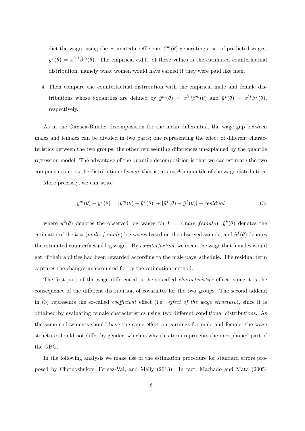dict the wages using the estimated coefficients  $\beta^{m}(\theta)$  generating a set of predicted wages,  $\tilde{y}^f(\theta) = x'^{*f} \hat{\beta}^m(\theta)$ . The empirical c.d.f. of these values is the estimated counterfactual distribution, namely what women would have earned if they were paid like men.

4. Then compare the counterfactual distribution with the empirical male and female distributions whose  $\theta$ quantiles are defined by  $\hat{y}^m(\theta) = x'^m \beta^m(\theta)$  and  $\hat{y}^f(\theta) = x'^f \beta^f(\theta)$ , respectively.

As in the Oaxaca-Blinder decomposition for the mean differential, the wage gap between males and females can be divided in two parts; one representing the effect of different characteristics between the two groups; the other representing differences unexplained by the quantile regression model. The advantage of the quantile decomposition is that we can estimate the two components across the distribution of wage, that is, at any *θ*th quantile of the wage distribution.

More precisely, we can write

$$
y^{m}(\theta) - y^{f}(\theta) = [\hat{y}^{m}(\theta) - \tilde{y}^{f}(\theta)] + [\tilde{y}^{f}(\theta) - \hat{y}^{f}(\theta)] + residual
$$
\n(3)

where  $y^k(\theta)$  denotes the observed log wages for  $k = (male, female), \hat{y}^k(\theta)$  denotes the estimator of the  $k = (male, female)$  log wages based on the observed sample, and  $\tilde{y}^f(\theta)$  denotes the estimated counterfactual log wages. By *counterfactual*, we mean the wage that females would get, if their abilities had been rewarded according to the male pays' schedule. The residual term captures the changes unaccounted for by the estimation method.

The first part of the wage differential is the so-called *characteristics* effect, since it is the consequence of the different distribution of covariates for the two groups. The second addend in (3) represents the so-called *coefficient* effect (i.e. *effect of the wage structure*), since it is obtained by evaluating female characteristics using two different conditional distributions. As the same endowments should have the same effect on earnings for male and female, the wage structure should not differ by gender, which is why this term represents the unexplained part of the GPG.

In the following analysis we make use of the estimation procedure for standard errors proposed by Chernozhukov, Fernez-Val, and Melly (2013). In fact, Machado and Mata (2005)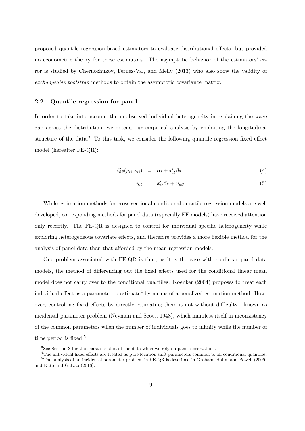proposed quantile regression-based estimators to evaluate distributional effects, but provided no econometric theory for these estimators. The asymptotic behavior of the estimators' error is studied by Chernozhukov, Fernez-Val, and Melly (2013) who also show the validity of *exchangeable bootstrap* methods to obtain the asymptotic covariance matrix.

#### **2.2 Quantile regression for panel**

In order to take into account the unobserved individual heterogeneity in explaining the wage gap across the distribution, we extend our empirical analysis by exploiting the longitudinal structure of the data.<sup>3</sup> To this task, we consider the following quantile regression fixed effect model (hereafter FE-QR):

$$
Q_{\theta}(y_{it}|x_{it}) = \alpha_i + x_{it}'\beta_{\theta} \tag{4}
$$

$$
y_{it} = x'_{it} \beta_{\theta} + u_{\theta it} \tag{5}
$$

While estimation methods for cross-sectional conditional quantile regression models are well developed, corresponding methods for panel data (especially FE models) have received attention only recently. The FE-QR is designed to control for individual specific heterogeneity while exploring heterogeneous covariate effects, and therefore provides a more flexible method for the analysis of panel data than that afforded by the mean regression models.

One problem associated with FE-QR is that, as it is the case with nonlinear panel data models, the method of differencing out the fixed effects used for the conditional linear mean model does not carry over to the conditional quantiles. Koenker (2004) proposes to treat each individual effect as a parameter to estimate<sup>4</sup> by means of a penalized estimation method. However, controlling fixed effects by directly estimating them is not without difficulty - known as incidental parameter problem (Neyman and Scott, 1948), which manifest itself in inconsistency of the common parameters when the number of individuals goes to infinity while the number of time period is fixed.<sup>5</sup>

<sup>&</sup>lt;sup>3</sup>See Section 3 for the characteristics of the data when we rely on panel observations.

<sup>&</sup>lt;sup>4</sup>The individual fixed effects are treated as pure location shift parameters common to all conditional quantiles.  $5$ The analysis of an incidental parameter problem in FE-QR is described in Graham, Hahn, and Powell (2009) and Kato and Galvao (2016).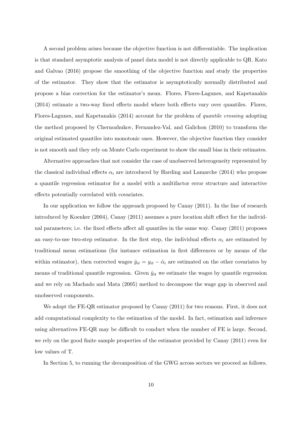A second problem arises because the objective function is not differentiable. The implication is that standard asymptotic analysis of panel data model is not directly applicable to QR. Kato and Galvao (2016) propose the smoothing of the objective function and study the properties of the estimator. They show that the estimator is asymptotically normally distributed and propose a bias correction for the estimator's mean. Flores, Flores-Lagunes, and Kapetanakis (2014) estimate a two-way fixed effects model where both effects vary over quantiles. Flores, Flores-Lagunes, and Kapetanakis (2014) account for the problem of *quantile crossing* adopting the method proposed by Chernozhukov, Fernandez-Val, and Galichon (2010) to transform the original estimated quantiles into monotonic ones. However, the objective function they consider is not smooth and they rely on Monte Carlo experiment to show the small bias in their estimates.

Alternative approaches that not consider the case of unobserved heterogeneity represented by the classical individual effects  $\alpha_i$  are introduced by Harding and Lamarche (2014) who propose a quantile regression estimator for a model with a multifactor error structure and interactive effects potentially correlated with covariates.

In our application we follow the approach proposed by Canay (2011). In the line of research introduced by Koenker (2004), Canay (2011) assumes a pure location shift effect for the individual parameters; i.e. the fixed effects affect all quantiles in the same way. Canay (2011) proposes an easy-to-use two-step estimator. In the first step, the individual effects  $\alpha_i$  are estimated by traditional mean estimations (for instance estimation in first differences or by means of the within estimator), then corrected wages  $\hat{y}_{it} = y_{it} - \hat{\alpha}_i$  are estimated on the other covariates by means of traditional quantile regression. Given  $\hat{y}_{it}$  we estimate the wages by quantile regression and we rely on Machado and Mata (2005) method to decompose the wage gap in observed and unobserved components.

We adopt the FE-QR estimator proposed by Canay (2011) for two reasons. First, it does not add computational complexity to the estimation of the model. In fact, estimation and inference using alternatives FE-QR may be difficult to conduct when the number of FE is large. Second, we rely on the good finite sample properties of the estimator provided by Canay (2011) even for low values of T.

In Section 5, to running the decomposition of the GWG across sectors we proceed as follows.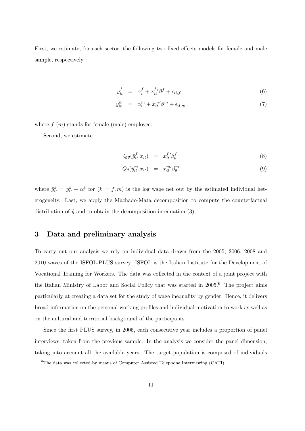First, we estimate, for each sector, the following two fixed effects models for female and male sample, respectively :

$$
y_{it}^f = \alpha_i^f + x_{it}^{f'} \beta^f + \epsilon_{it,f} \tag{6}
$$

$$
y_{it}^{m} = \alpha_i^{m} + x_{it}^{m} / \beta^{m} + \epsilon_{it,m}
$$
\n<sup>(7)</sup>

where  $f(m)$  stands for female (male) employee.

Second, we estimate

$$
Q_{\theta}(\hat{y}_{it}^f | x_{it}) = x_{it}^{f}{}' \beta_{\theta}^f \tag{8}
$$

$$
Q_{\theta}(\hat{y}_{it}^{m}|x_{it}) = x_{it}^{m} \beta_{\theta}^{m} \tag{9}
$$

where  $\hat{y}^k_{it} = y^k_{it} - \hat{\alpha}^k_i$  for  $(k = f, m)$  is the log wage net out by the estimated individual heterogeneity. Last, we apply the Machado-Mata decomposition to compute the counterfactual distribution of  $\hat{y}$  and to obtain the decomposition in equation (3).

### **3 Data and preliminary analysis**

To carry out our analysis we rely on individual data drawn from the 2005, 2006, 2008 and 2010 waves of the ISFOL-PLUS survey. ISFOL is the Italian Institute for the Development of Vocational Training for Workers. The data was collected in the context of a joint project with the Italian Ministry of Labor and Social Policy that was started in 2005.<sup>6</sup> The project aims particularly at creating a data set for the study of wage inequality by gender. Hence, it delivers broad information on the personal working profiles and individual motivation to work as well as on the cultural and territorial background of the participants

Since the first PLUS survey, in 2005, each consecutive year includes a proportion of panel interviews, taken from the previous sample. In the analysis we consider the panel dimension, taking into account all the available years. The target population is composed of individuals

<sup>6</sup>The data was collected by means of Computer Assisted Telephone Interviewing (CATI).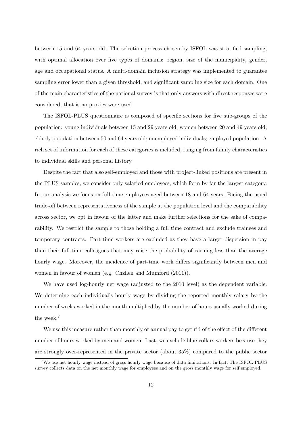between 15 and 64 years old. The selection process chosen by ISFOL was stratified sampling, with optimal allocation over five types of domains: region, size of the municipality, gender, age and occupational status. A multi-domain inclusion strategy was implemented to guarantee sampling error lower than a given threshold, and significant sampling size for each domain. One of the main characteristics of the national survey is that only answers with direct responses were considered, that is no proxies were used.

The ISFOL-PLUS questionnaire is composed of specific sections for five sub-groups of the population: young individuals between 15 and 29 years old; women between 20 and 49 years old; elderly population between 50 and 64 years old; unemployed individuals; employed population. A rich set of information for each of these categories is included, ranging from family characteristics to individual skills and personal history.

Despite the fact that also self-employed and those with project-linked positions are present in the PLUS samples, we consider only salaried employees, which form by far the largest category. In our analysis we focus on full-time employees aged between 18 and 64 years. Facing the usual trade-off between representativeness of the sample at the population level and the comparability across sector, we opt in favour of the latter and make further selections for the sake of comparability. We restrict the sample to those holding a full time contract and exclude trainees and temporary contracts. Part-time workers are excluded as they have a larger dispersion in pay than their full-time colleagues that may raise the probability of earning less than the average hourly wage. Moreover, the incidence of part-time work differs significantly between men and women in favour of women (e.g. Chzhen and Mumford (2011)).

We have used log-hourly net wage (adjusted to the 2010 level) as the dependent variable. We determine each individual's hourly wage by dividing the reported monthly salary by the number of weeks worked in the month multiplied by the number of hours usually worked during the week.<sup>7</sup>

We use this measure rather than monthly or annual pay to get rid of the effect of the different number of hours worked by men and women. Last, we exclude blue-collars workers because they are strongly over-represented in the private sector (about 35%) compared to the public sector

<sup>7</sup>We use net hourly wage instead of gross hourly wage because of data limitations. In fact, The ISFOL-PLUS survey collects data on the net monthly wage for employees and on the gross monthly wage for self employed.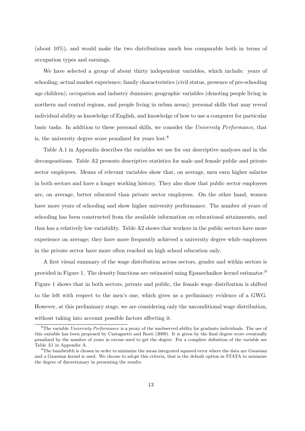(about 10%), and would make the two distributions much less comparable both in terms of occupation types and earnings.

We have selected a group of about thirty independent variables, which include: years of schooling; actual market experience; family characteristics (civil status, presence of pre-schooling age children); occupation and industry dummies; geographic variables (denoting people living in northern and central regions, and people living in urban areas); personal skills that may reveal individual ability as knowledge of English, and knowledge of how to use a computer for particular basic tasks. In addition to these personal skills, we consider the *University Performance*, that is, the university degree score penalized for years lost.<sup>8</sup>

Table A.1 in Appendix describes the variables we use for our descriptive analyses and in the decompositions. Table A2 presents descriptive statistics for male and female public and private sector employees. Means of relevant variables show that, on average, men earn higher salaries in both sectors and have a longer working history. They also show that public sector employees are, on average, better educated than private sector employees. On the other hand, women have more years of schooling and show higher university performance. The number of years of schooling has been constructed from the available information on educational attainments, and thus has a relatively low variability. Table A2 shows that workers in the public sectors have more experience on average; they have more frequently achieved a university degree while employees in the private sector have more often reached an high school education only.

A first visual summary of the wage distribution across sectors, gender and within sectors is provided in Figure 1. The density functions are estimated using Epanechnikov kernel estimator.<sup>9</sup> Figure 1 shows that in both sectors, private and public, the female wage distribution is shifted to the left with respect to the men's one, which gives us a preliminary evidence of a GWG. However, at this preliminary stage, we are considering only the unconditional wage distribution, without taking into account possible factors affecting it.

<sup>8</sup>The variable *University Performance* is a proxy of the unobserved ability for graduate individuals. The use of this variable has been proposed by Castagnetti and Rosti (2009). It is given by the final degree score eventually penalized by the number of years in excess used to get the degree. For a complete definition of the variable see Table A1 in Appendix A.

<sup>&</sup>lt;sup>9</sup>The bandwidth is chosen in order to minimize the mean integrated squared error where the data are Gaussian and a Gaussian kernel is used. We choose to adopt this criteria, that is the default option in STATA to minimize the degree of discretionary in presenting the results.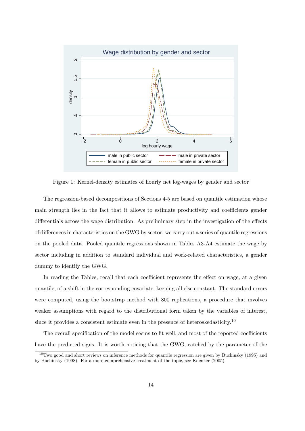

Figure 1: Kernel-density estimates of hourly net log-wages by gender and sector

The regression-based decompositions of Sections 4-5 are based on quantile estimation whose main strength lies in the fact that it allows to estimate productivity and coefficients gender differentials across the wage distribution. As preliminary step in the investigation of the effects of differences in characteristics on the GWG by sector, we carry out a series of quantile regressions on the pooled data. Pooled quantile regressions shown in Tables A3-A4 estimate the wage by sector including in addition to standard individual and work-related characteristics, a gender dummy to identify the GWG.

In reading the Tables, recall that each coefficient represents the effect on wage, at a given quantile, of a shift in the corresponding covariate, keeping all else constant. The standard errors were computed, using the bootstrap method with 800 replications, a procedure that involves weaker assumptions with regard to the distributional form taken by the variables of interest, since it provides a consistent estimate even in the presence of heteroskedasticity.<sup>10</sup>

The overall specification of the model seems to fit well, and most of the reported coefficients have the predicted signs. It is worth noticing that the GWG, catched by the parameter of the

 $10$ Two good and short reviews on inference methods for quantile regression are given by Buchinsky (1995) and by Buchinsky (1998). For a more comprehensive treatment of the topic, see Koenker (2005).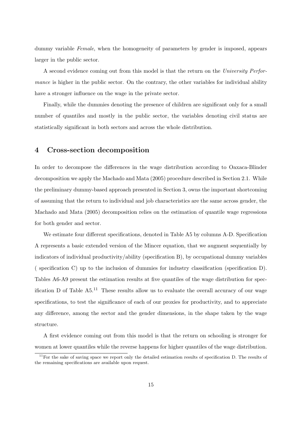dummy variable *Female*, when the homogeneity of parameters by gender is imposed, appears larger in the public sector.

A second evidence coming out from this model is that the return on the *University Performance* is higher in the public sector. On the contrary, the other variables for individual ability have a stronger influence on the wage in the private sector.

Finally, while the dummies denoting the presence of children are significant only for a small number of quantiles and mostly in the public sector, the variables denoting civil status are statistically significant in both sectors and across the whole distribution.

#### **4 Cross-section decomposition**

In order to decompose the differences in the wage distribution according to Oaxaca-Blinder decomposition we apply the Machado and Mata (2005) procedure described in Section 2.1. While the preliminary dummy-based approach presented in Section 3, owns the important shortcoming of assuming that the return to individual and job characteristics are the same across gender, the Machado and Mata (2005) decomposition relies on the estimation of quantile wage regressions for both gender and sector.

We estimate four different specifications, denoted in Table A5 by columns A-D. Specification A represents a basic extended version of the Mincer equation, that we augment sequentially by indicators of individual productivity/ability (specification B), by occupational dummy variables ( specification C) up to the inclusion of dummies for industry classification (specification D). Tables A6-A9 present the estimation results at five quantiles of the wage distribution for specification D of Table  $A5<sup>11</sup>$  These results allow us to evaluate the overall accuracy of our wage specifications, to test the significance of each of our proxies for productivity, and to appreciate any difference, among the sector and the gender dimensions, in the shape taken by the wage structure.

A first evidence coming out from this model is that the return on schooling is stronger for women at lower quantiles while the reverse happens for higher quantiles of the wage distribution.

 $11$ For the sake of saving space we report only the detailed estimation results of specification D. The results of the remaining specifications are available upon request.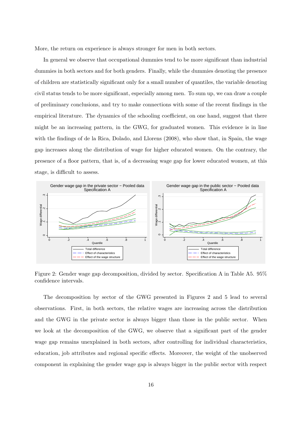More, the return on experience is always stronger for men in both sectors.

In general we observe that occupational dummies tend to be more significant than industrial dummies in both sectors and for both genders. Finally, while the dummies denoting the presence of children are statistically significant only for a small number of quantiles, the variable denoting civil status tends to be more significant, especially among men. To sum up, we can draw a couple of preliminary conclusions, and try to make connections with some of the recent findings in the empirical literature. The dynamics of the schooling coefficient, on one hand, suggest that there might be an increasing pattern, in the GWG, for graduated women. This evidence is in line with the findings of de la Rica, Dolado, and Llorens (2008), who show that, in Spain, the wage gap increases along the distribution of wage for higher educated women. On the contrary, the presence of a floor pattern, that is, of a decreasing wage gap for lower educated women, at this stage, is difficult to assess.



Figure 2: Gender wage gap decomposition, divided by sector. Specification A in Table A5. 95% confidence intervals.

The decomposition by sector of the GWG presented in Figures 2 and 5 lead to several observations. First, in both sectors, the relative wages are increasing across the distribution and the GWG in the private sector is always bigger than those in the public sector. When we look at the decomposition of the GWG, we observe that a significant part of the gender wage gap remains unexplained in both sectors, after controlling for individual characteristics, education, job attributes and regional specific effects. Moreover, the weight of the unobserved component in explaining the gender wage gap is always bigger in the public sector with respect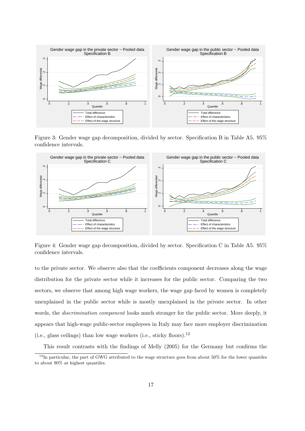

Figure 3: Gender wage gap decomposition, divided by sector. Specification B in Table A5. 95% confidence intervals.



Figure 4: Gender wage gap decomposition, divided by sector. Specification C in Table A5. 95% confidence intervals.

to the private sector. We observe also that the coefficients component decreases along the wage distribution for the private sector while it increases for the public sector. Comparing the two sectors, we observe that among high wage workers, the wage gap faced by women is completely unexplained in the public sector while is mostly unexplained in the private sector. In other words, the *discrimination component* looks much stronger for the public sector. More deeply, it appears that high-wage public-sector employees in Italy may face more employer discrimination (i.e., glass ceilings) than low wage workers (i.e., sticky floors).<sup>12</sup>

This result contrasts with the findings of Melly (2005) for the Germany but confirms the

 $12$ In particular, the part of GWG attributed to the wage structure goes from about 50% for the lower quantiles to about 90% at highest quantiles.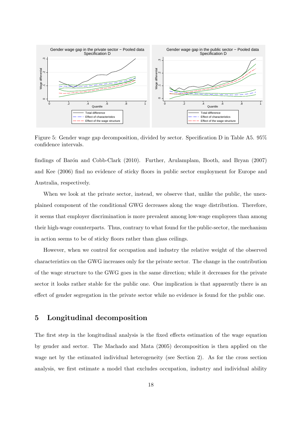

Figure 5: Gender wage gap decomposition, divided by sector. Specification D in Table A5, 95% confidence intervals.

findings of Barón and Cobb-Clark (2010). Further, Arulamplam, Booth, and Bryan (2007) and Kee (2006) find no evidence of sticky floors in public sector employment for Europe and Australia, respectively.

When we look at the private sector, instead, we observe that, unlike the public, the unexplained component of the conditional GWG decreases along the wage distribution. Therefore, it seems that employer discrimination is more prevalent among low-wage employees than among their high-wage counterparts. Thus, contrary to what found for the public-sector, the mechanism in action seems to be of sticky floors rather than glass ceilings.

However, when we control for occupation and industry the relative weight of the observed characteristics on the GWG increases only for the private sector. The change in the contribution of the wage structure to the GWG goes in the same direction; while it decreases for the private sector it looks rather stable for the public one. One implication is that apparently there is an effect of gender segregation in the private sector while no evidence is found for the public one.

## **5 Longitudinal decomposition**

The first step in the longitudinal analysis is the fixed effects estimation of the wage equation by gender and sector. The Machado and Mata (2005) decomposition is then applied on the wage net by the estimated individual heterogeneity (see Section 2). As for the cross section analysis, we first estimate a model that excludes occupation, industry and individual ability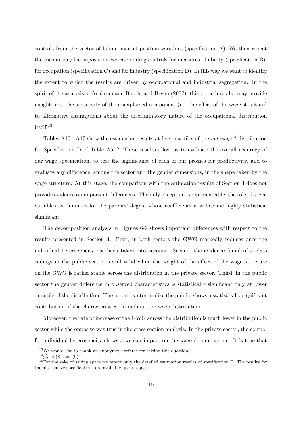controls from the vector of labour market position variables (specification A). We then repeat the estimation/decomposition exercise adding controls for measures of ability (specification B), for occupation (specification C) and for industry (specification D). In this way we want to identify the extent to which the results are driven by occupational and industrial segregation. In the spirit of the analysis of Arulamplam, Booth, and Bryan (2007), this procedure also may provide insights into the sensitivity of the unexplained component (i.e. the effect of the wage structure) to alternative assumptions about the discriminatory nature of the occupational distribution itself.<sup>13</sup>

Tables A10 - A13 show the estimation results at five quantiles of the *net wage*<sup>14</sup> distribution for Specification D of Table  $A5<sup>15</sup>$  These results allow us to evaluate the overall accuracy of our wage specification, to test the significance of each of our proxies for productivity, and to evaluate any difference, among the sector and the gender dimensions, in the shape taken by the wage structure. At this stage, the comparison with the estimation results of Section 4 does not provide evidence on important differences. The only exception is represented by the role of social variables as dummies for the parents' degree whose coefficients now become highly statistical significant.

The decomposition analysis in Figures 6-9 shows important differences with respect to the results presented in Section 4. First, in both sectors the GWG markedly reduces once the individual heterogeneity has been taken into account. Second, the evidence found of a glass ceilings in the public sector is still valid while the weight of the effect of the wage structure on the GWG is rather stable across the distribution in the private sector. Third, in the public sector the gender difference in observed characteristics is statistically significant only at lower quantile of the distribution. The private sector, unlike the public, shows a statistically significant contribution of the characteristics throughout the wage distribution.

Moreover, the rate of increase of the GWG across the distribution is much lower in the public sector while the opposite was true in the cross section analysis. In the private sector, the control for individual heterogeneity shows a weaker impact on the wage decomposition. It is true that

 $13\,\text{We would like to thank an anonymous referee for raising this question.}$ 

 $^{14}\hat{y}_{it}^{k}$  in (8) and (9).

 $15$ For the sake of saving space we report only the detailed estimation results of specification D. The results for the alternative specifications are available upon request.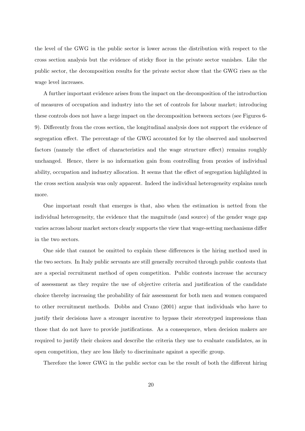the level of the GWG in the public sector is lower across the distribution with respect to the cross section analysis but the evidence of sticky floor in the private sector vanishes. Like the public sector, the decomposition results for the private sector show that the GWG rises as the wage level increases.

A further important evidence arises from the impact on the decomposition of the introduction of measures of occupation and industry into the set of controls for labour market; introducing these controls does not have a large impact on the decomposition between sectors (see Figures 6- 9). Differently from the cross section, the longitudinal analysis does not support the evidence of segregation effect. The percentage of the GWG accounted for by the observed and unobserved factors (namely the effect of characteristics and the wage structure effect) remains roughly unchanged. Hence, there is no information gain from controlling from proxies of individual ability, occupation and industry allocation. It seems that the effect of segregation highlighted in the cross section analysis was only apparent. Indeed the individual heterogeneity explains much more.

One important result that emerges is that, also when the estimation is netted from the individual heterogeneity, the evidence that the magnitude (and source) of the gender wage gap varies across labour market sectors clearly supports the view that wage-setting mechanisms differ in the two sectors.

One side that cannot be omitted to explain these differences is the hiring method used in the two sectors. In Italy public servants are still generally recruited through public contests that are a special recruitment method of open competition. Public contests increase the accuracy of assessment as they require the use of objective criteria and justification of the candidate choice thereby increasing the probability of fair assessment for both men and women compared to other recruitment methods. Dobbs and Crano (2001) argue that individuals who have to justify their decisions have a stronger incentive to bypass their stereotyped impressions than those that do not have to provide justifications. As a consequence, when decision makers are required to justify their choices and describe the criteria they use to evaluate candidates, as in open competition, they are less likely to discriminate against a specific group.

Therefore the lower GWG in the public sector can be the result of both the different hiring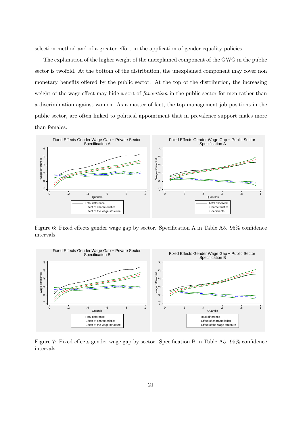selection method and of a greater effort in the application of gender equality policies.

The explanation of the higher weight of the unexplained component of the GWG in the public sector is twofold. At the bottom of the distribution, the unexplained component may cover non monetary benefits offered by the public sector. At the top of the distribution, the increasing weight of the wage effect may hide a sort of *favoritism* in the public sector for men rather than a discrimination against women. As a matter of fact, the top management job positions in the public sector, are often linked to political appointment that in prevalence support males more than females.



Figure 6: Fixed effects gender wage gap by sector. Specification A in Table A5. 95% confidence intervals.



Figure 7: Fixed effects gender wage gap by sector. Specification B in Table A5. 95% confidence intervals.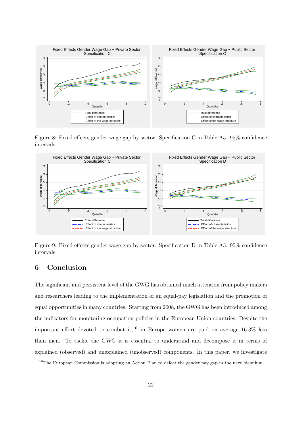

Figure 8: Fixed effects gender wage gap by sector. Specification C in Table A5. 95% confidence intervals.



Figure 9: Fixed effects gender wage gap by sector. Specification D in Table A5. 95% confidence intervals.

## **6 Conclusion**

The significant and persistent level of the GWG has obtained much attention from policy makers and researchers leading to the implementation of an equal-pay legislation and the promotion of equal opportunities in many countries. Starting from 2008, the GWG has been introduced among the indicators for monitoring occupation policies in the European Union countries. Despite the important effort devoted to combat it,<sup>16</sup> in Europe women are paid on average  $16.3\%$  less than men. To tackle the GWG it is essential to understand and decompose it in terms of explained (observed) and unexplained (unobserved) components. In this paper, we investigate

<sup>&</sup>lt;sup>16</sup>The European Commission is adopting an Action Plan to defeat the gender pay gap in the next biennium.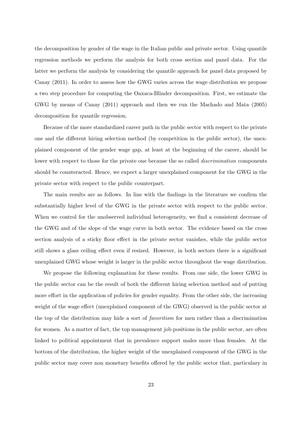the decomposition by gender of the wage in the Italian public and private sector. Using quantile regression methods we perform the analysis for both cross section and panel data. For the latter we perform the analysis by considering the quantile approach for panel data proposed by Canay (2011). In order to assess how the GWG varies across the wage distribution we propose a two step procedure for computing the Oaxaca-Blinder decomposition. First, we estimate the GWG by means of Canay (2011) approach and then we run the Machado and Mata (2005) decomposition for quantile regression.

Because of the more standardized career path in the public sector with respect to the private one and the different hiring selection method (by competition in the public sector), the unexplained component of the gender wage gap, at least at the beginning of the career, should be lower with respect to those for the private one because the so called *discrimination* components should be counteracted. Hence, we expect a larger unexplained component for the GWG in the private sector with respect to the public counterpart.

The main results are as follows. In line with the findings in the literature we confirm the substantially higher level of the GWG in the private sector with respect to the public sector. When we control for the unobserved individual heterogeneity, we find a consistent decrease of the GWG and of the slope of the wage curve in both sector. The evidence based on the cross section analysis of a sticky floor effect in the private sector vanishes, while the public sector still shows a glass ceiling effect even if resized. However, in both sectors there is a significant unexplained GWG whose weight is larger in the public sector throughout the wage distribution.

We propose the following explanation for these results. From one side, the lower GWG in the public sector can be the result of both the different hiring selection method and of putting more effort in the application of policies for gender equality. From the other side, the increasing weight of the wage effect (unexplained component of the GWG) observed in the public sector at the top of the distribution may hide a sort of *favoritism* for men rather than a discrimination for women. As a matter of fact, the top management job positions in the public sector, are often linked to political appointment that in prevalence support males more than females. At the bottom of the distribution, the higher weight of the unexplained component of the GWG in the public sector may cover non monetary benefits offered by the public sector that, particulary in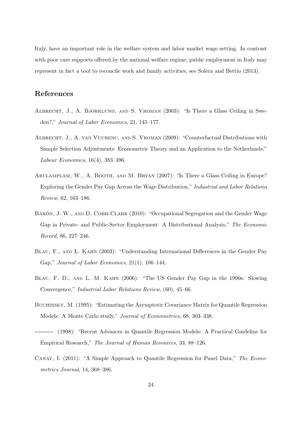Italy, have an important role in the welfare system and labor market wage setting. In contrast with poor care supports offered by the national welfare regime, public employment in Italy may represent in fact a tool to reconcile work and family activities, see Solera and Bettio (2013).

## **References**

- Albrecht, J., A. Bjorklund, and S. Vroman (2003): "Is There a Glass Ceiling in Sweden?," *Journal of Labor Economics*, 21, 145–177.
- Albrecht, J., A. van Vuurenc, and S. Vroman (2009): "Counterfactual Distributions with Sample Selection Adjustments: Econometric Theory and an Application to the Netherlands," *Labour Economics*, 16(4), 383–396.
- ARULAMPLAM, W., A. BOOTH, AND M. BRYAN (2007): "Is There a Glass Ceiling in Europe? Exploring the Gender Pay Gap Across the Wage Distribution," *Industrial and Labor Relations Review*, 62, 163–186.
- BARÓN, J. W., AND D. COBB-CLARK (2010): "Occupational Segregation and the Gender Wage Gap in Private- and Public-Sector Employment: A Distributional Analysis," *The Economic Record*, 86, 227–246.
- Blau, F., and L. Kahn (2003): "Understanding International Differences in the Gender Pay Gap," *Journal of Labor Economics*, 21(1), 106–144.
- Blau, F. D., and L. M. Kahn (2006): "The US Gender Pay Gap in the 1990s: Slowing Convergence," *Industrial Labor Relations Review*, (60), 45–66.
- BUCHINSKY, M. (1995): "Estimating the Asymptotic Covariance Matrix for Quantile Regression Models: A Monte Carlo study," *Journal of Econometrics*, 68, 303–338.
- (1998): "Recent Advances in Quantile Regression Models: A Practical Guideline for Empirical Research," *The Journal of Human Resources*, 33, 88–126.
- Canay, I. (2011): "A Simple Approach to Quantile Regression for Panel Data," *The Econometrics Journal*, 14, 368–386.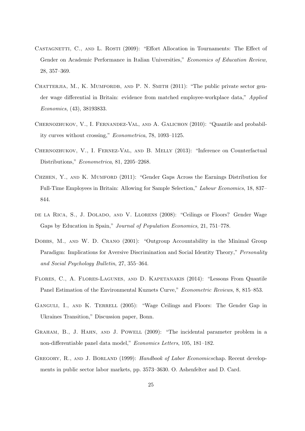- CASTAGNETTI, C., AND L. ROSTI (2009): "Effort Allocation in Tournaments: The Effect of Gender on Academic Performance in Italian Universities," *Economics of Education Review*, 28, 357–369.
- CHATTERJIA, M., K. MUMFORDB, AND P. N. SMITH (2011): "The public private sector gender wage differential in Britain: evidence from matched employee-workplace data," *Applied Economics*, (43), 38193833.
- Chernozhukov, V., I. Fernandez-Val, and A. Galichon (2010): "Quantile and probability curves without crossing," *Econometrica*, 78, 1093–1125.
- Chernozhukov, V., I. Fernez-Val, and B. Melly (2013): "Inference on Counterfactual Distributions," *Econometrica*, 81, 2205–2268.
- Chzhen, Y., and K. Mumford (2011): "Gender Gaps Across the Earnings Distribution for Full-Time Employees in Britain: Allowing for Sample Selection," *Labour Economics*, 18, 837– 844.
- de la Rica, S., J. Dolado, and V. Llorens (2008): "Ceilings or Floors? Gender Wage Gaps by Education in Spain," *Journal of Population Economics*, 21, 751–778.
- DOBBS, M., AND W. D. CRANO (2001): "Outgroup Accountability in the Minimal Group Paradigm: Implications for Aversive Discrimination and Social Identity Theory," *Personality and Social Psychology Bulletin*, 27, 355–364.
- Flores, C., A. Flores-Lagunes, and D. Kapetanakis (2014): "Lessons From Quantile Panel Estimation of the Environmental Kuznets Curve," *Econometric Reviews*, 8, 815–853.
- GANGULI, I., AND K. TERRELL (2005): "Wage Ceilings and Floors: The Gender Gap in Ukraines Transition," Discussion paper, Bonn.
- Graham, B., J. Hahn, and J. Powell (2009): "The incidental parameter problem in a non-differentiable panel data model," *Economics Letters*, 105, 181–182.
- Gregory, R., and J. Borland (1999): *Handbook of Labor Economics*chap. Recent developments in public sector labor markets, pp. 3573–3630. O. Ashenfelter and D. Card.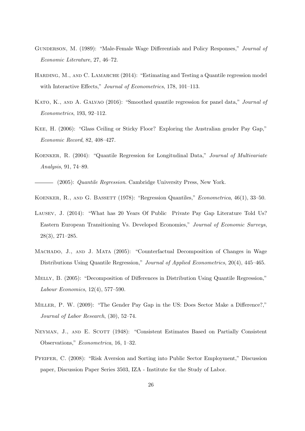- Gunderson, M. (1989): "Male-Female Wage Differentials and Policy Responses," *Journal of Economic Literature*, 27, 46–72.
- HARDING, M., AND C. LAMARCHE (2014): "Estimating and Testing a Quantile regression model with Interactive Effects," *Journal of Econometrics*, 178, 101–113.
- Kato, K., and A. Galvao (2016): "Smoothed quantile regression for panel data," *Journal of Econometrics*, 193, 92–112.
- Kee, H. (2006): "Glass Ceiling or Sticky Floor? Exploring the Australian gender Pay Gap," *Economic Record*, 82, 408–427.
- Koenker, R. (2004): "Quantile Regression for Longitudinal Data," *Journal of Multivariate Analysis*, 91, 74–89.

(2005): *Quantile Regression*. Cambridge University Press, New York.

- Koenker, R., and G. Bassett (1978): "Regression Quantiles," *Econometrica*, 46(1), 33–50.
- Lausev, J. (2014): "What has 20 Years Of Public Private Pay Gap Literature Told Us? Eastern European Transitioning Vs. Developed Economies," *Journal of Economic Surveys*, 28(3), 271–285.
- Machado, J., and J. Mata (2005): "Counterfactual Decomposition of Changes in Wage Distributions Using Quantile Regression," *Journal of Applied Econometrics*, 20(4), 445–465.
- Melly, B. (2005): "Decomposition of Differences in Distribution Using Quantile Regression," *Labour Economics*, 12(4), 577–590.
- Miller, P. W. (2009): "The Gender Pay Gap in the US: Does Sector Make a Difference?," *Journal of Labor Research*, (30), 52–74.
- NEYMAN, J., AND E. SCOTT (1948): "Consistent Estimates Based on Partially Consistent Observations," *Econometrica*, 16, 1–32.
- Pfeifer, C. (2008): "Risk Aversion and Sorting into Public Sector Employment," Discussion paper, Discussion Paper Series 3503, IZA - Institute for the Study of Labor.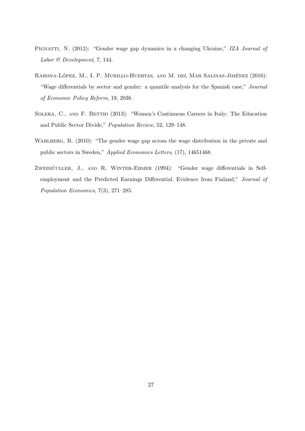- PIGNATTI, N. (2012): "Gender wage gap dynamics in a changing Ukraine," *IZA Journal of Labor & Development*, 7, 144.
- RAHONA-LÓPEZ, M., I. P. MURILLO-HUERTAS, AND M. DEL MAR SALINAS-JIMÉNEZ (2016): "Wage differentials by sector and gender: a quantile analysis for the Spanish case," *Journal of Economic Policy Reform*, 19, 2038.
- SOLERA, C., AND F. BETTIO (2013): "Women's Continuous Careers in Italy: The Education and Public Sector Divide," *Population Review*, 52, 129–148.
- WAHLBERG, R. (2010): "The gender wage gap across the wage distribution in the private and public sectors in Sweden," *Applied Economics Letters*, (17), 14651468.
- ZWEIMÜULLER, J., AND R. WINTER-EBMER (1994): "Gender wage differentials in Selfemployment and the Predicted Earnings Differential. Evidence from Finland," *Journal of Population Economics*, 7(3), 271–285.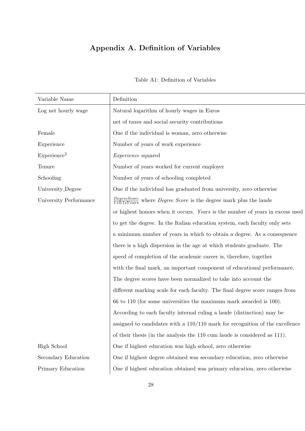## **Appendix A. Definition of Variables**

| Variable Name           | Definition                                                                                    |
|-------------------------|-----------------------------------------------------------------------------------------------|
| Log net hourly wage     | Natural logarithm of hourly wages in Euros                                                    |
|                         | net of taxes and social security contributions                                                |
| Female                  | One if the individual is woman, zero otherwise                                                |
| Experience              | Number of years of work experience                                                            |
| Experience <sup>2</sup> | <i>Experience</i> squared                                                                     |
| Tenure                  | Number of years worked for current employer                                                   |
| Schooling               | Number of years of schooling completed                                                        |
| University_Degree       | One if the individual has graduated from university, zero otherwise                           |
| University Performance  | $\frac{DegreeScore}{1+0.1*Years}$ where <i>Degree Score</i> is the degree mark plus the laude |
|                         | or highest honors when it occurs. Years is the number of years in excess used                 |
|                         | to get the degree. In the Italian education system, each faculty only sets                    |
|                         | a minimum number of years in which to obtain a degree. As a consequence                       |
|                         | there is a high dispersion in the age at which students graduate. The                         |
|                         | speed of completion of the academic career is, therefore, together                            |
|                         | with the final mark, an important component of educational performance.                       |
|                         | The degree scores have been normalized to take into account the                               |
|                         | different marking scale for each faculty. The final degree score ranges from                  |
|                         | 66 to 110 (for some universities the maximum mark awarded is 100).                            |
|                         | According to each faculty internal ruling a laude (distinction) may be                        |
|                         | assigned to candidates with a $110/110$ mark for recognition of the excellence                |
|                         | of their thesis (in the analysis the 110 cum laude is considered as 111).                     |
| <b>High School</b>      | One if highest education was high school, zero otherwise                                      |
| Secondary Education     | One if highest degree obtained was secondary education, zero otherwise                        |
| Primary Education       | One if highest education obtained was primary education, zero otherwise                       |
|                         |                                                                                               |

Table A1: Definition of Variables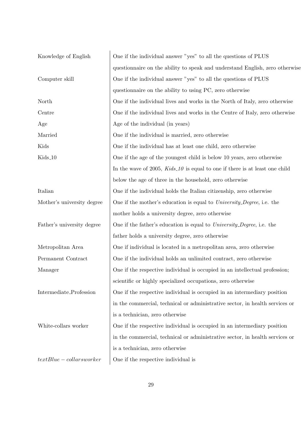| Knowledge of English       | One if the individual answer "yes" to all the questions of PLUS               |
|----------------------------|-------------------------------------------------------------------------------|
|                            | questionnaire on the ability to speak and understand English, zero otherwise  |
| Computer skill             | One if the individual answer "yes" to all the questions of PLUS               |
|                            | questionnaire on the ability to using PC, zero otherwise                      |
| North                      | One if the individual lives and works in the North of Italy, zero otherwise   |
| Centre                     | One if the individual lives and works in the Centre of Italy, zero otherwise  |
| Age                        | Age of the individual (in years)                                              |
| Married                    | One if the individual is married, zero otherwise                              |
| Kids                       | One if the individual has at least one child, zero otherwise                  |
| Kids_10                    | One if the age of the youngest child is below 10 years, zero otherwise        |
|                            | In the wave of 2005, $Kids_10$ is equal to one if there is at least one child |
|                            | below the age of three in the household, zero otherwise                       |
| Italian                    | One if the individual holds the Italian citizenship, zero otherwise           |
| Mother's university degree | One if the mother's education is equal to <i>University_Degree</i> , i.e. the |
|                            | mother holds a university degree, zero otherwise                              |
| Father's university degree | One if the father's education is equal to <i>University_Degree</i> , i.e. the |
|                            | father holds a university degree, zero otherwise                              |
| Metropolitan Area          | One if individual is located in a metropolitan area, zero otherwise           |
| Permanent Contract         | One if the individual holds an unlimited contract, zero otherwise             |
| Manager                    | One if the respective individual is occupied in an intellectual profession;   |
|                            | scientific or highly specialized occupations, zero otherwise                  |
| Intermediate_Profession    | One if the respective individual is occupied in an intermediary position      |
|                            | in the commercial, technical or administrative sector, in health services or  |
|                            | is a technician, zero otherwise                                               |
| White-collars worker       | One if the respective individual is occupied in an intermediary position      |
|                            | in the commercial, technical or administrative sector, in health services or  |
|                            | is a technician, zero otherwise                                               |
| $textBlue - collarsworker$ | One if the respective individual is                                           |
|                            |                                                                               |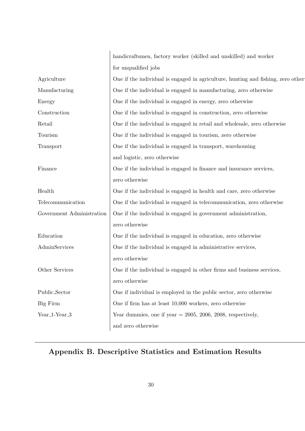|                                        | handicraftsmen, factory worker (skilled and unskilled) and worker                |
|----------------------------------------|----------------------------------------------------------------------------------|
|                                        | for unqualified jobs                                                             |
| Agriculture                            | One if the individual is engaged in agriculture, hunting and fishing, zero other |
| Manufacturing                          | One if the individual is engaged in manufacturing, zero otherwise                |
| Energy                                 | One if the individual is engaged in energy, zero otherwise                       |
| Construction                           | One if the individual is engaged in construction, zero otherwise                 |
| Retail                                 | One if the individual is engaged in retail and wholesale, zero otherwise         |
| Tourism                                | One if the individual is engaged in tourism, zero otherwise                      |
| Transport                              | One if the individual is engaged in transport, warehousing                       |
|                                        | and logistic, zero otherwise                                                     |
| Finance                                | One if the individual is engaged in finance and insurance services,              |
|                                        | zero otherwise                                                                   |
| Health                                 | One if the individual is engaged in health and care, zero otherwise              |
| Telecommunication                      | One if the individual is engaged in telecommunication, zero otherwise            |
| Government Administration              | One if the individual is engaged in government administration,                   |
|                                        | zero otherwise                                                                   |
| Education                              | One if the individual is engaged in education, zero otherwise                    |
| AdminServices                          | One if the individual is engaged in administrative services,                     |
|                                        | zero otherwise                                                                   |
| Other Services                         | One if the individual is engaged in other firms and business services,           |
|                                        | zero otherwise                                                                   |
| Public_Sector                          | One if individual is employed in the public sector, zero otherwise               |
| Big Firm                               | One if firm has at least 10,000 workers, zero otherwise                          |
| Year <sub>-1</sub> -Year <sub>-3</sub> | Year dummies, one if year $= 2005, 2006, 2008$ , respectively,                   |
|                                        | and zero otherwise                                                               |

# **Appendix B. Descriptive Statistics and Estimation Results**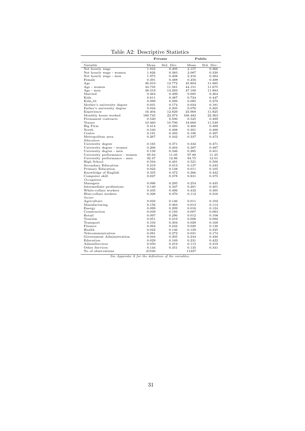|                                |         | Private   | Public  |           |  |
|--------------------------------|---------|-----------|---------|-----------|--|
| Variable                       | Mean    | Std. Dev. | Mean    | Std. Dev. |  |
| Net hourly wage                | 1.916   | 0.405     | 2.157   | 0.366     |  |
| Net hourly wage - women        | 1.826   | 0.383     | 2.087   | 0.330     |  |
| Net hourly wage - men          | 1.975   | 0.408     | 2.216   | 0.384     |  |
| Female                         | 0.391   | 0.488     | 0.456   | 0.498     |  |
| Age                            | 36.919  | 12.772    | 45.804  | 11.885    |  |
| Age - women                    | 34.735  | 11.581    | 44.151  | 11.675    |  |
| Age - men                      | 38.319  | 13.293    | 47.188  | 11.884    |  |
| Married                        | 0.464   | 0.499     | 0.685   | 0.464     |  |
| Kids                           | 0.611   | 0.487     | 0.724   | 0.447     |  |
| $Kids_10$                      | 0.099   | 0.299     | 0.085   | 0.279     |  |
| Mother's university degree     | 0.031   | 0.174     | 0.034   | 0.181     |  |
| Father's university degree     | 0.044   | 0.205     | 0.076   | 0.265     |  |
| Experience                     | 16.404  | 12.829    | 23.968  | 11.825    |  |
| Monthly hours worked           | 180.745 | 22.974    | 168.482 | 22.363    |  |
| Permanent contracts            | 0.520   | 0.500     | 0.525   | 0.499     |  |
| Tenure                         | 10.460  | 10.706    | 18.669  | 11.549    |  |
| Big Firm                       | 0.414   | 0.493     | 0.468   | 0.499     |  |
| North                          | 0.540   | 0.498     | 0.391   | 0.488     |  |
| Centre                         | 0.191   | 0.393     | 0.196   | 0.397     |  |
| Metropolitan area              | 0.267   | 0.442     | 0.337   | 0.473     |  |
| Education                      |         |           |         |           |  |
| University degree              | 0.165   | 0.371     | 0.332   | 0.471     |  |
| University degree - women      | 0.206   | 0.404     | 0.387   | 0.487     |  |
| University degree - men        | 0.139   | 0.346     | 0.285   | 0.451     |  |
| University performance - women | 95.63   | 11.05     | 97.89   | 11.25     |  |
| University performance - men   | 92.47   | 12.86     | 94.75   | 12.01     |  |
| High School                    | 0.594   | 0.491     | 0.521   | 0.500     |  |
| Secondary Education            | 0.219   | 0.413     | 0.137   | 0.343     |  |
| Primary Education              | 0.022   | 0.148     | 0.011   | 0.105     |  |
| Knowledge of English           | 0.335   | 0.472     | 0.266   | 0.442     |  |
| Computer skill                 | 0.827   | 0.378     | 0.831   | 0.375     |  |
| Occupation                     |         |           |         |           |  |
| Managers                       | 0.096   | 0.295     | 0.254   | 0.435     |  |
| Intermediate professions       | 0.140   | 0.347     | 0.201   | 0.401     |  |
| White-collars workers          | 0.435   | 0.496     | 0.432   | 0.495     |  |
| Blue-collars workers           | 0.328   | 0.470     | 0.112   | 0.316     |  |
| Sector                         |         |           |         |           |  |
| Agriculture                    | 0.022   | 0.146     | 0.011   | 0.102     |  |
| Manufacturing                  | 0.156   | 0.363     | 0.013   | 0.114     |  |
| Energy                         | 0.099   | 0.299     | 0.016   | 0.124     |  |
| Construction                   | 0.039   | 0.193     | 0.007   | 0.083     |  |
| Retail                         | 0.097   | 0.296     | 0.012   | 0.108     |  |
| Tourism                        | 0.051   | 0.219     | 0.008   | 0.092     |  |
| Transport                      | 0.103   | 0.304     | 0.029   | 0.168     |  |
| Finance                        | 0.062   | 0.242     | 0.020   | 0.138     |  |
| Health                         | 0.022   | 0.146     | 0.129   | 0.335     |  |
| Telecommunication              | 0.081   | 0.272     | 0.031   | 0.174     |  |
| Government Administration      | 0.044   | 0.205     | 0.244   | 0.430     |  |
| Education                      | 0.029   | 0.169     | 0.231   | 0.422     |  |
| AdminServices                  | 0.050   | 0.219     | 0.115   | 0.319     |  |
| Other Services                 | 0.144   | 0.351     | 0.135   | 0.341     |  |
| No of observations             | 21530   |           | 11227   |           |  |

Table A2: Descriptive Statistics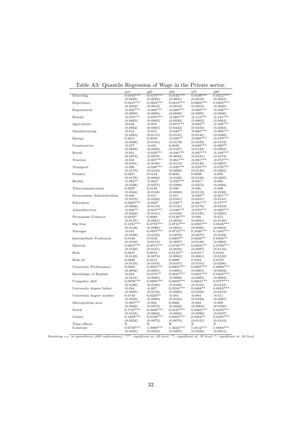|                           | q10                     | q25                     | q50                     | q75                     | q90                     |
|---------------------------|-------------------------|-------------------------|-------------------------|-------------------------|-------------------------|
| Schooling                 | $0.0193***$             | $0.0170***$             | $0.0195***$             | $0.0199***$             | $0.0212***$             |
|                           | (0.0025)                | (0.0025)                | (0.0021)                | (0.0019)<br>$0.0203***$ | (0.0025)                |
| Experience                | $0.0341***$<br>(0.0022) | $0.0234***$<br>(0.0012) | $0.0212***$<br>(0.0010) | (0.0012)                | $0.0205***$<br>(0.0020) |
| Experience2               | $-0.000***$             | $-0.000***$             | $-0.000***$             | $-0.000***$             | $-0.000***$             |
|                           | (0.0000)                | (0.0000)                | (0.0000)                | (0.0000)                | (0.0000)                |
| Female                    | $-0.075***$             | $-0.076***$             | $-0.085***$             | $-0.112***$             | $-0.131***$             |
|                           | (0.0063)                | (0.0063)                | (0.0036)                | (0.0062)                | (0.0064)                |
| Agriculture               | $-0.042$                | $-0.078$                | $-0.075***$             | $-0.094**$              | $-0.106***$             |
|                           | (0.0662)                | (0.0583)                | (0.0232)                | (0.0416)                | (0.0383)                |
| Manufacturing             | $-0.012$<br>(0.0265)    | $-0.015$<br>(0.0113)    | $-0.026**$<br>(0.0131)  | $-0.060***$<br>(0.0145) | $-0.068***$<br>(0.0226) |
| Energy                    | 0.0011                  | 0.0036                  | $-0.025**$              | $-0.060***$             | $-0.079***$             |
|                           | (0.0288)                | (0.0101)                | (0.0119)                | (0.0182)                | (0.0152)                |
| Construction              | $-0.077$                | $-0.021$                | 0.0030                  | $-0.038***$             | $-0.069**$              |
|                           | (0.0603)                | (0.0220)                | (0.0167)                | (0.0132)                | (0.0302)                |
| Retail                    | $-0.031$                | $-0.029***$             | $-0.046***$             | $-0.087***$             | $-0.106***$             |
|                           | (0.0274)                | (0.0079)                | (0.0092)                | (0.0121)                | (0.0174)                |
| Tourism                   | $-0.034$<br>(0.0341)    | $-0.067***$<br>(0.0196) | $-0.061***$<br>(0.0113) | $-0.081***$<br>(0.0149) | $-0.073***$<br>(0.0267) |
| Transport                 | $-0.026$                | $-0.048***$             | $-0.045***$             | $-0.076***$             | $-0.078***$             |
|                           | (0.0170)                | (0.0143)                | (0.0096)                | (0.0149)                | (0.0205)                |
| Finance                   | 0.0251                  | 0.0134                  | 0.0043                  | 0.0048                  | $-0.005$                |
|                           | (0.0178)                | (0.0094)                | (0.0106)                | (0.0138)                | (0.0205)                |
| Health                    | $-0.085**$              | $-0.062*$               | $-0.058***$             | $-0.051*$               | $-0.066$                |
|                           | (0.0338)                | (0.0375)                | (0.0208)                | (0.0272)                | (0.0493)                |
| Telecommunication         | 0.0027                  | 0.0146                  | $-0.000$                | $-0.006$                | $-0.008$                |
| Government Administration | (0.0344)                | (0.0138)                | (0.0093)                | (0.0119)                | (0.0188)<br>$-0.061***$ |
|                           | $-0.046$<br>(0.0473)    | $-0.011$<br>(0.0232)    | $-0.011$<br>(0.0161)    | $-0.039**$<br>(0.0167)  | (0.0141)                |
| Education                 | $0.0285***$             | $-0.020*$               | $-0.030**$              | $-0.061***$             | $-0.077**$              |
|                           | (0.0092)                | (0.0119)                | (0.0141)                | (0.0178)                | (0.0319)                |
| AdminServices             | $-0.068**$              | $-0.055***$             | $-0.048***$             | $-0.070***$             | $-0.092***$             |
|                           | (0.0322)                | (0.0141)                | (0.0180)                | (0.0125)                | (0.0200)                |
| Permanent Contract        | $0.0252*$               | 0.0069                  | $0.0126***$             | -0.006                  | -0.013                  |
|                           | (0.0137)                | (0.0061)                | (0.0043)                | (0.0091)                | (0.0136)                |
| Big firm                  | $0.1051***$<br>(0.0149) | $0.0770***$<br>(0.0088) | $0.0710***$<br>(0.0054) | $0.0595***$<br>(0.0080) | $0.0538***$<br>(0.0083) |
| Manager                   | $-0.031$                | $0.0497***$             | $0.0713***$             | $0.1036***$             | $0.1483***$             |
|                           | (0.0199)                | (0.0123)                | (0.0076)                | (0.0079)                | (0.0129)                |
| Intermediate Profession   | 0.0180                  | 0.0158                  | $0.0203**$              | $0.0248**$              | $0.0508**$              |
|                           | (0.0143)                | (0.0110)                | (0.0097)                | (0.0120)                | (0.0203)                |
| Married                   | $0.0657***$             | $0.0574***$             | $0.0758***$             | $0.0823***$             | $0.0799***$             |
| Kids                      | (0.0100)                | (0.0101)                | (0.0058)                | (0.0087)                | (0.0116)                |
|                           | 0.0041<br>(0.0123)      | 0.0073<br>(0.0074)      | $0.0133**$<br>(0.0063)  | $0.0101*$<br>(0.0061)   | 0.0133<br>(0.0120)      |
| $Kids_10$                 | 0.0206                  | 0.0115                  | 0.0089                  | 0.0161                  | 0.0170                  |
|                           | (0.0145)                | (0.0104)                | (0.0107)                | (0.0155)                | (0.0206)                |
| University Performance    | 0.0004                  | $0.0005***$             | $0.0005***$             | $0.0007***$             | $0.0008***$             |
|                           | (0.0002)                | (0.0001)                | (0.0001)                | (0.0001)                | (0.0002)                |
| Knowledge of English      | $-0.004$                | $0.0170**$              | $0.0247***$             | $0.0231***$             | $0.0345***$             |
| Computer skill            | (0.0141)<br>$0.0976***$ | (0.0085)<br>$0.0903***$ | (0.0060)<br>$0.0892***$ | (0.0085)<br>$0.0864***$ | (0.0094)<br>$0.0777***$ |
|                           | (0.0186)                | (0.0100)                | (0.0100)                | (0.0152)                | (0.0143)                |
| University degree father  | $-0.034$                | $-0.007$                | $0.0234***$             | $0.0408**$              | $0.0853***$             |
|                           | (0.0395)                | (0.0144)                | (0.0082)                | (0.0168)                | (0.0218)                |
| University degree mother  | 0.0749                  | $0.0229**$              | $-0.001$                | $-0.004$                | $-0.011$                |
|                           | (0.0555)                | (0.0099)                | (0.0124)                | (0.0168)                | (0.0207)                |
| Metropolitan area         | $-0.023***$             | $-0.002$                | 0.0066                  | $-0.002$                | $-0.009$                |
|                           | (0.0062)                | (0.0072)                | (0.0062)                | (0.0063)                | (0.0106)                |
| North                     | $0.1727***$<br>(0.0165) | $0.0930***$<br>(0.0064) | $0.0547***$<br>(0.0063) | $0.0560***$             | $0.0476***$             |
| Centre                    | $0.1409***$             | $0.0749***$             | $0.0350***$             | (0.0099)<br>$0.0304**$  | (0.0107)<br>$0.0476***$ |
|                           | (0.0224)                | (0.0073)                | (0.0078)                | (0.0121)                | (0.0143)                |
| Time effects              | Х                       | Х                       | Х                       | Х                       | Х                       |
| Constant                  | $0.6759***$             | $1.0980***$             | 1.2632***               | $1.4512***$             | $1.5884***$             |
|                           | (0.0435)                | (0.0316)                | (0.0297)                | (0.0324)                | (0.0311)                |

Table A3: Quantile Regression of Wage in the Private sector.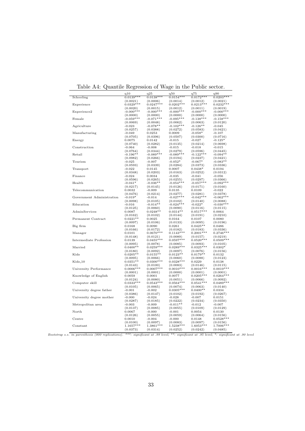|                           | q10                     | q25                     | q50                     | q75                     | q90                     |
|---------------------------|-------------------------|-------------------------|-------------------------|-------------------------|-------------------------|
| Schooling                 | $0.0139***$<br>(0.0021) | $0.0138***$<br>(0.0006) | $0.0154***$<br>(0.0014) | $0.0172***$<br>(0.0012) | $0.0203***$<br>(0.0021) |
| Experience                | $0.0329***$             | $0.0247***$             | $0.0202***$             | $0.0213***$             | $0.0232***$             |
|                           | (0.0020)                | (0.0015)                | (0.0012)                | (0.0011)                | (0.0019)                |
| Experience2               | $-0.000***$             | $-0.000***$             | $-0.000***$             | $-0.000***$             | $-0.000***$             |
|                           | (0.0000)                | (0.0000)                | (0.0000)                | (0.0000)                | (0.0000)                |
| Female                    | $-0.059***$             | $-0.071***$             | $-0.095***$             | $-0.138***$             | $-0.158***$             |
|                           | (0.0069)                | (0.0048)                | (0.0062)                | (0.0063)                | (0.0120)                |
| Agriculture               | $-0.023$                | $-0.078**$              | $-0.102***$             | $-0.126**$              | $-0.045$                |
|                           | (0.0257)                | (0.0388)                | (0.0272)                | (0.0583)                | (0.0421)                |
| Manufacturing             | $-0.049$                | 0.0253                  | 0.0009                  | $-0.058*$               | $-0.107$                |
|                           | (0.0705)                | (0.0396)                | (0.0507)                | (0.0300)                | (0.0716)                |
| Energy                    | 0.0075                  | 0.0142                  | -0.015                  | $-0.027$                | $-0.125*$               |
|                           | (0.0740)                | (0.0282)                | (0.0135)                | (0.0214)                | (0.0698)                |
| Construction              | $-0.064$                | $-0.008$                | $-0.015$                | $-0.018$                | $-0.015$                |
|                           | (0.0764)                | (0.0344)                | (0.0279)                | (0.0596)                | (0.0445)                |
| Retail                    | $-0.196**$              | $-0.089***$             | $-0.089***$             | $-0.122***$             | $-0.094**$              |
|                           | (0.0982)                | (0.0266)                | (0.0194)                | (0.0227)                | (0.0421)                |
| Tourism                   | -0.025                  | $-0.007$                | $-0.052*$               | $-0.067*$               | $-0.083**$              |
|                           | (0.0593)                | (0.0339)                | (0.0284)                | (0.0373)                | (0.0336)                |
| Transport                 | $-0.022$                | 0.0145                  | 0.0007                  | $0.0438*$               | 0.0194                  |
|                           | (0.0348)                | (0.0203)                | (0.0163)                | (0.0252)                | (0.0312)                |
| Finance                   | $-0.024$                | 0.0034                  | $-0.035$                | $-0.041$                | $-0.056$                |
| Health                    | (0.0596)                | (0.0265)                | (0.0255)                | (0.0297)                | (0.0366)                |
|                           | $-0.041*$               | $-0.036**$              | $-0.054***$             | $-0.057***$             | $-0.092***$             |
| Telecommunication         | (0.0217)<br>0.0032      | (0.0145)<br>$-0.009$    | (0.0126)<br>0.0135      | (0.0171)<br>0.0109      | (0.0160)<br>$-0.022$    |
|                           |                         |                         |                         |                         |                         |
| Government Administration | (0.0476)<br>$-0.019*$   | (0.0214)<br>$-0.014$    | (0.0277)<br>$-0.027***$ | (0.0281)<br>$-0.042***$ | (0.0378)<br>$-0.062***$ |
|                           | (0.0098)                | (0.0105)                | (0.0102)                | (0.0140)                | (0.0088)                |
| Education                 | $-0.016$                | $-0.014**$              | $-0.024***$             | $-0.022*$               | $-0.030***$             |
|                           | (0.0125)                | (0.0060)                | (0.0090)                | (0.0116)                | (0.0115)                |
| AdminServices             | 0.0087                  | $0.0248**$              | $0.0314**$              | $0.0517***$             | 0.0064                  |
|                           | (0.0162)                | (0.0102)                | (0.0144)                | (0.0191)                | (0.0210)                |
| Permanent Contract        | $0.0221**$              | 0.0025                  | 0.0164                  | 0.0107                  | 0.0080                  |
|                           | (0.0097)                | (0.0106)                | (0.0133)                | (0.0095)                | (0.0196)                |
| Big firm                  | 0.0168                  | 0.0090                  | 0.0261                  | $0.0425**$              | 0.0486                  |
|                           | (0.0166)                | (0.0172)                | (0.0182)                | (0.0183)                | (0.0336)                |
| Manager                   | 0.0101                  | $0.0670***$             | $0.1143***$             | $0.2001***$             | $0.2746***$             |
|                           | (0.0148)                | (0.0121)                | (0.0089)                | (0.0157)                | (0.0219)                |
| Intermediate Profession   | 0.0139                  | $0.0455***$             | $0.0597***$             | $0.0520***$             | $0.0509***$             |
|                           | (0.0095)                | (0.0078)                | (0.0085)                | (0.0093)                | (0.0105)                |
| Married                   | $0.0400**$              | $0.0259***$             | $0.0289***$             | $0.0325***$             | $0.0302*$               |
|                           | (0.0180)                | (0.0092)                | (0.0097)                | (0.0076)                | (0.0156)                |
| Kids                      | $0.0205**$              | $0.0155**$              | $0.0123**$              | $0.0179**$              | 0.0132                  |
|                           | (0.0095)                | (0.0066)                | (0.0060)                | (0.0088)                | (0.0123)                |
| $Kids_10$                 | $0.0351**$              | $0.0300***$             | $0.0328***$             | 0.0229                  | 0.0138                  |
|                           | (0.0143)                | (0.0100)                | (0.0083)                | (0.0146)                | (0.0115)                |
| University Performance    | $0.0006***$             | $0.0007***$             | $0.0010***$             | $0.0016***$             | $0.0019***$             |
|                           | (0.0001)                | (0.0001)                | (0.0000)                | (0.0001)                | (0.0001)                |
| Knowledge of English      | 0.0059                  | 0.0001                  | 0.0077                  | $0.0205***$             | $0.0264***$             |
|                           | (0.0124)                | (0.0080)                | (0.0051)                | (0.0066)                | (0.0092)                |
| Computer skill            | $0.0333***$             | $0.0543***$             | $0.0564***$             | $0.0541***$             | $0.0489***$             |
|                           | (0.0105)                | (0.0065)                | (0.0074)                | (0.0063)                | (0.0140)                |
| University degree father  | $-0.001$                | $-0.002$                | $0.0305***$             | $0.0400**$              | 0.0334                  |
|                           | (0.0386)                | (0.0147)                | (0.0102)                | (0.0192)                | (0.0267)                |
| University degree mother  | $-0.000$                | $-0.024$                | $-0.028$                | $-0.007$                | 0.0151                  |
|                           | (0.0287)                | (0.0185)                | (0.0222)                | (0.0234)                | (0.0350)                |
| Metropolitan area         | $-0.003$                | $-0.009$                | $-0.011**$              | $-0.012$                | $-0.007$                |
|                           | (0.0137)                | (0.0085)                | (0.0055)                | (0.0109)                | (0.0129)                |
|                           | 0.0067                  | $-0.000$                | $-0.001$                | 0.0054                  | $_{0.0130}$             |
| North                     |                         | (0.0055)                | (0.0059)                | (0.0064)                | (0.0156)                |
|                           | (0.0126)                |                         |                         |                         |                         |
| Centre                    | 0.0010                  | $-0.004$                | $-0.000$                | 0.0148                  | $0.0528***$             |
| Constant                  | (0.0100)<br>$1.1657***$ | (0.0097)<br>1.3861 ***  | (0.0083)<br>$1.5238***$ | (0.0097)<br>$1.6053***$ | (0.0156)<br>1.7006 ***  |

Table A4: Quantile Regression of Wage in the Public sector.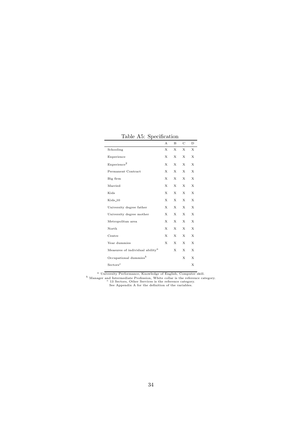| д,                                                 |   |   |   |   |
|----------------------------------------------------|---|---|---|---|
|                                                    | А | B | C | D |
| Schooling                                          | Х | Х | Х | X |
| Experience                                         | Х | Х | X | Х |
| Experience <sup>2</sup>                            | X | X | X | X |
| Permanent Contract                                 | Х | Х | Х | X |
| Big firm                                           | Х | Х | Х | X |
| Married                                            | Х | Х | Х | X |
| Kids                                               | Х | Х | Х | X |
| $Kids_10$                                          | X | X | X | X |
| University degree father                           | X | X | X | X |
| University degree mother                           | Х | X | X | X |
| Metropolitan area                                  | Х | Х | X | X |
| North                                              | Х | X | X | X |
| Centre                                             | X | X | X | X |
| Year dummies                                       | Х | X | X | X |
| Measures of individual ability <sup><i>a</i></sup> |   | X | X | X |
| Occupational dummies <sup>b</sup>                  |   |   | Х | X |
| Sectors <sup>c</sup>                               |   |   |   | X |

Table A5: Specification

*<sup>a</sup>* University Performance, Knowledge of English, Computer skill.

*b* Manager and Intermediate Profession, White collar is the reference category.<br><sup>*c*</sup> 13 Sectors, Other Services is the reference category.<br>See Appendix A for the definition of the variables.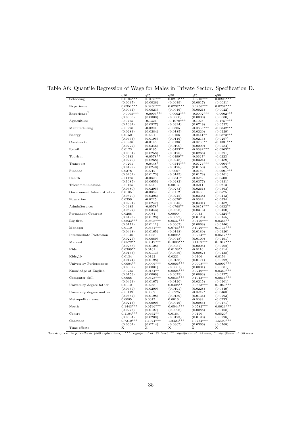|                           | q10          | q25           | q50          | q75          | q90          |
|---------------------------|--------------|---------------|--------------|--------------|--------------|
| Schooling                 | $0.0184***$  | $0.0168***$   | $0.0210***$  | $0.0210***$  | $0.0223***$  |
|                           | (0.0037)     | (0.0026)      | (0.0019)     | (0.0017)     | (0.0031)     |
| Experience                | $0.0351***$  | $0.0250***$   | $0.0237***$  | $0.0256***$  | $0.0237***$  |
|                           | (0.0044)     | (0.0023)      | (0.0016)     | (0.0021)     | (0.0022)     |
| Experience <sup>2</sup>   | $-0.0005***$ | $-0.0003***$  | $-0.0002***$ | $-0.0002***$ | $-0.0002***$ |
|                           | (0.0000)     | (0.0000)      | (0.0000)     | (0.0000)     | (0.0000)     |
| Agriculture               | $-0.0775$    | $-0.1324$     | $-0.1078***$ | $-0.1025$    | $-0.1757***$ |
|                           | (0.1034)     | (0.0927)      | (0.0394)     | (0.0719)     | (0.0532)     |
| Manufacturing             | $-0.0298$    | $-0.0204$     | $-0.0305$    | $-0.0638***$ | $-0.0842***$ |
|                           | (0.0283)     | (0.0284)      | (0.0185)     | (0.0220)     | (0.0229)     |
| Energy                    | 0.0150       | 0.0221        | $-0.0166$    | $-0.0441**$  | $-0.0873***$ |
|                           | (0.0453)     | (0.0195)      | (0.0116)     | (0.0213)     | (0.0297)     |
| Construction              | $-0.0838$    | $-0.0145$     | $-0.0136$    | $-0.0706**$  | $-0.1331***$ |
|                           | (0.0722)     | (0.0346)      |              |              | (0.0284)     |
| Retail                    |              |               | (0.0190)     | (0.0299)     |              |
|                           | 0.0123       | $-0.0195$     | $-0.0453**$  | $-0.0692***$ | $-0.0963**$  |
|                           | (0.0331)     | (0.0258)      | (0.0178)     | (0.0266)     | (0.0391)     |
| Tourism                   | $-0.0183$    | $-0.0578**$   | $-0.0499**$  | $-0.0627*$   | $-0.0223$    |
|                           | (0.0279)     | (0.0268)      | (0.0248)     | (0.0324)     | (0.0489)     |
| Transport                 | $-0.0201$    | $-0.0448*$    | $-0.0544***$ | $-0.0724***$ | $-0.0664**$  |
|                           | (0.0199)     | (0.0240)      | (0.0178)     | (0.0158)     | (0.0269)     |
| Finance                   | 0.0378       | 0.0212        | $-0.0067$    | $-0.0169$    | $-0.0691***$ |
|                           | (0.0262)     | (0.0173)      | (0.0145)     | (0.0178)     | (0.0161)     |
| Health                    | $-0.1126$    | $-0.0323$     | $-0.0541*$   | $-0.0252$    | $-0.0500$    |
|                           | (0.1085)     | (0.0655)      | (0.0282)     | (0.0377)     | (0.0431)     |
| Telecommunication         | $-0.0165$    | 0.0220        | 0.0013       | $-0.0211$    | $-0.0213$    |
|                           | (0.0380)     | (0.0295)      | (0.0273)     | (0.0261)     | (0.0363)     |
| Government Administration | 0.0185       | $-0.0039$     | $-0.0112$    | $-0.0430$    | $-0.0575$    |
|                           | (0.0570)     | (0.0396)      | (0.0242)     | (0.0338)     | (0.0413)     |
| Education                 | 0.0359       | $-0.0225$     | $-0.0620*$   | $-0.0624$    | $-0.0534$    |
|                           | (0.0291)     | (0.0247)      | (0.0345)     | (0.0401)     | (0.0482)     |
| AdminServices             | $-0.0485$    | $-0.0578*$    | $-0.0768**$  | $-0.0858***$ | $-0.0932**$  |
|                           |              |               |              |              |              |
|                           | (0.0527)     | (0.0343)      | (0.0326)     | (0.0313)     | (0.0460)     |
| Permanent Contract        | 0.0268       | 0.0084        | 0.0090       | 0.0033       | $-0.0324**$  |
|                           | (0.0193)     | (0.0123)      | (0.0097)     | (0.0128)     | (0.0155)     |
| Big firm                  | $0.0833***$  | $0.0698***$   | $0.0537***$  | $0.0420***$  | $0.0366**$   |
|                           | (0.0172)     | (0.0111)      | (0.0062)     | (0.0068)     | (0.0146)     |
| Manager                   | 0.0110       | $0.0651***$   | $0.0766***$  | $0.1026***$  | $0.1736***$  |
|                           | (0.0448)     | (0.0165)      | (0.0148)     | (0.0180)     | (0.0320)     |
| Intermediate Profession   | $-0.0046$    | 0.0038        | $0.0095*$    | $0.0224**$   | $0.0517***$  |
|                           | (0.0225)     | (0.0089)      | (0.0048)     | (0.0109)     | (0.0191)     |
| Married                   | $0.0572**$   | $0.0612***$   | $0.1006***$  | $0.1109***$  | $0.1317***$  |
|                           | (0.0258)     | (0.0128)      | (0.0081)     | (0.0205)     | (0.0202)     |
| Kids                      | $0.0389**$   | 0.0161        | $0.0138**$   | $-0.0110$    | $-0.0114$    |
|                           | (0.0153)     | (0.0113)      | (0.0056)     | (0.0087)     | (0.0138)     |
| Kids_10                   | 0.0134       | 0.0122        | 0.0221       | 0.0106       | 0.0153       |
|                           | (0.0174)     | (0.0198)      | (0.0158)     | (0.0171)     | (0.0292)     |
| University Performance    | $0.0004**$   | $0.0006***$   | $0.0006***$  | $0.0008***$  | $0.0007***$  |
|                           | (0.0002)     | (0.0001)      | (0.0001)     | (0.0001)     | (0.0001)     |
| Knowledge of English      | $-0.0235$    | $0.0154**$    | $0.0224***$  | $0.0249***$  | $0.0360***$  |
|                           | (0.0153)     | (0.0069)      | (0.0079)     | (0.0093)     | (0.0127)     |
|                           |              | $0.0628***$   | $0.0835***$  | $0.1013***$  |              |
| Computer skill            | 0.0668       |               |              |              | $0.0816***$  |
|                           | (0.0423)     | (0.0167)      | (0.0120)     | (0.0215)     | (0.0201)     |
| University degree father  | 0.0112       | 0.0258        | $0.0408**$   | $0.0653***$  | $0.1069***$  |
|                           | (0.0439)     | (0.0200)      | (0.0191)     | (0.0228)     | (0.0349)     |
| University degree mother  | $-0.0119$    | 0.0062        | $-0.0225$    | $-0.0242*$   | $-0.0460$    |
|                           | (0.0657)     | (0.0198)      | (0.0159)     | (0.0134)     | (0.0293)     |
| Metropolitan area         | 0.0085       | 0.0077        | 0.0016       | $-0.0099$    | $-0.0233$    |
|                           | (0.0213)     | (0.0090)      | (0.0046)     | (0.0085)     | (0.0171)     |
| North                     | $0.1443***$  | $0.0746***$   | $0.0544***$  | $0.0582***$  | $0.0623***$  |
|                           | (0.0273)     | (0.0127)      | (0.0096)     | (0.0088)     | (0.0168)     |
| Centre                    | $0.1104***$  | $0.0462**$    | 0.0164       | 0.0190       | $0.0520*$    |
|                           | (0.0384)     | (0.0209)      | (0.0173)     | (0.0193)     | (0.0298)     |
| Constant                  | $0.7310***$  | $1.1074***$   | $1.2423***$  | $1.3734***$  | $1.5490***$  |
|                           | (0.0664)     |               |              | (0.0366)     | (0.0768)     |
|                           |              | (0.0214)<br>Х | (0.0367)     |              |              |
| Time effects              | Х            |               | Х            | Х            | Х            |

#### Table A6: Quantile Regression of Wage for Males in Private Sector. Specification D.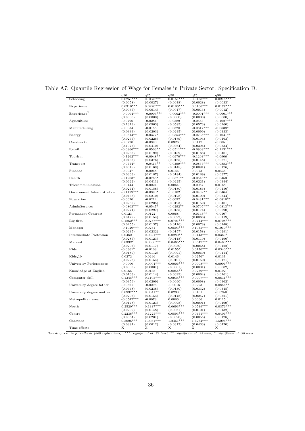|                           | q10                      | q25          | q50          | q75          | q90          |
|---------------------------|--------------------------|--------------|--------------|--------------|--------------|
| Schooling                 | $0.0251***$              | $0.0178***$  | $0.0151***$  | $0.0158***$  | $0.0216***$  |
|                           | (0.0058)                 | (0.0027)     | (0.0018)     | (0.0028)     | (0.0033)     |
| Experience                | $0.0310***$              | $0.0220***$  | $0.0186***$  | $0.0166***$  | $0.0177***$  |
|                           | (0.0035)                 | (0.0014)     | (0.0017)     | (0.0013)     | (0.0012)     |
| Experience <sup>2</sup>   | $-0.0004***$             | $-0.0003***$ | $-0.0002***$ | $-0.0001***$ | $-0.0001***$ |
|                           | (0.0000)                 | (0.0000)     | (0.0000)     | (0.0000)     | (0.0000)     |
| Agriculture               | $-0.0796$                | $-0.0284$    | $-0.0589$    | $-0.0563$    | $-0.1027***$ |
|                           | (0.1319)                 | (0.0963)     | (0.0585)     | (0.0573)     | (0.0260)     |
| Manufacturing             |                          |              |              |              | $-0.0639*$   |
|                           | $-0.0034$                | $-0.0155$    | $-0.0328$    | $-0.0617***$ |              |
|                           | (0.0334)                 | (0.0203)     | (0.0245)     | (0.0099)     | (0.0333)     |
| Energy                    | $-0.0614**$              | $-0.0377*$   | $-0.0554***$ | $-0.0735***$ | $-0.1041**$  |
|                           | (0.0265)                 | (0.0226)     | (0.0179)     | (0.0194)     | (0.0463)     |
| Construction              | $-0.0720$                | $-0.0393$    | 0.0326       | 0.0117       | $-0.0051$    |
|                           | (0.1075)                 | (0.0410)     | (0.0364)     | (0.0394)     | (0.0334)     |
| Retail                    | $-0.0866***$             | $-0.0503**$  | $-0.0511***$ | $-0.0908***$ | $-0.1131***$ |
|                           | (0.0283)                 | (0.0199)     | (0.0189)     | (0.0168)     | (0.0401)     |
| Tourism                   | $-0.1262***$             | $-0.0948**$  | $-0.0970***$ | $-0.1203***$ | $-0.0906$    |
|                           | (0.0433)                 | (0.0376)     | (0.0165)     | (0.0148)     | (0.0571)     |
| Transport                 | $-0.0554*$               | $-0.0413**$  | $-0.0399***$ | $-0.0855***$ | $-0.0883***$ |
|                           | (0.0318)                 | (0.0169)     | (0.0145)     | (0.0091)     | (0.0176)     |
| Finance                   | $-0.0047$                | $-0.0068$    | 0.0146       | 0.0073       | 0.0435       |
|                           | (0.0363)                 | (0.0187)     | (0.0184)     | (0.0189)     | (0.0377)     |
| Health                    | $-0.1203*$               | $-0.0766*$   | $-0.0571**$  | $-0.0546**$  | $-0.0453$    |
|                           | (0.0622)                 | (0.0411)     | (0.0225)     | (0.0221)     | (0.0344)     |
| Telecommunication         | $-0.0144$                | $-0.0024$    | 0.0064       | $-0.0087$    | 0.0168       |
|                           | (0.0271)                 | (0.0158)     | (0.0180)     | (0.0186)     | (0.0450)     |
| Government Administration | $-0.1179***$             | $-0.0390*$   | $-0.0102$    | $-0.0462**$  | $-0.0464$    |
|                           | (0.0438)                 | (0.0210)     | (0.0128)     | (0.0190)     | (0.0344)     |
| Education                 | $-0.0020$                | $-0.0214$    | $-0.0092$    | $-0.0481***$ | $-0.0810**$  |
|                           |                          |              |              |              |              |
| AdminServices             | (0.0262)<br>$-0.0803***$ | (0.0205)     | (0.0193)     | (0.0159)     | (0.0401)     |
|                           |                          | $-0.0547*$   | $-0.0292**$  | $-0.0705***$ | $-0.0813***$ |
|                           | (0.0271)                 | (0.0297)     | (0.0135)     | (0.0174)     | (0.0290)     |
| Permanent Contract        | 0.0123                   | 0.0122       | 0.0068       | $-0.0143**$  | $-0.0107$    |
|                           | (0.0179)                 | (0.0154)     | (0.0092)     | (0.0066)     | (0.0119)     |
| Big firm                  | $0.1262***$              | $0.0757***$  | $0.0791***$  | $0.0714***$  | $0.0708**$   |
|                           | (0.0255)                 | (0.0137)     | (0.0116)     | (0.0078)     | (0.0148)     |
| Manager                   | $-0.1020***$             | 0.0251       | $0.0593***$  | $0.1035***$  | $0.1010***$  |
|                           | (0.0235)                 | (0.0232)     | (0.0157)     | (0.0158)     | (0.0291)     |
| Intermediate Profession   | 0.0462                   | $0.0321***$  | $0.0280**$   | $0.0443***$  | $0.0369*$    |
|                           | (0.0287)                 | (0.0123)     | (0.0118)     | (0.0110)     | (0.0190)     |
| Married                   | $0.0392*$                | $0.0366***$  | $0.0465***$  | $0.0547***$  | $0.0460***$  |
|                           | (0.0203)                 | (0.0117)     | (0.0080)     | (0.0068)     | (0.0122)     |
| Kids                      | $-0.0361*$               | $-0.0108$    | $0.0155*$    | $0.0170***$  | $0.0340***$  |
|                           | (0.0189)                 | (0.0112)     | (0.0091)     | (0.0060)     | (0.0114)     |
| Kids_10                   | 0.0272                   | 0.0246       | 0.0146       | $0.0276*$    | 0.0131       |
|                           | (0.0226)                 | (0.0154)     | (0.0101)     | (0.0150)     | (0.0171)     |
| University Performance    | $-0.0000$                | $0.0004***$  | $0.0006***$  | $0.0008***$  | $0.0006***$  |
|                           | (0.0005)                 | (0.0001)     | (0.0001)     | (0.0001)     | (0.0002)     |
| Knowledge of English      | 0.0165                   | 0.0138       | $0.0254**$   | $0.0239***$  | 0.0192       |
|                           | (0.0163)                 | (0.0114)     | (0.0099)     | (0.0064)     | (0.0161)     |
| Computer skill            | $0.1345***$              | $0.1105***$  | $0.0934***$  | $0.0907***$  | $0.0631***$  |
|                           | (0.0359)                 | (0.0209)     | (0.0090)     | (0.0098)     | (0.0162)     |
| University degree father  | $-0.0861$                | $-0.0296$    | $-0.0016$    | 0.0293       | $0.0856**$   |
|                           | (0.0648)                 | (0.0238)     | (0.0130)     | (0.0332)     | (0.0345)     |
| University degree mother  | $0.0997***$              | $0.0341**$   | 0.0238       | 0.0101       | $-0.0250$    |
|                           |                          |              |              |              |              |
|                           | (0.0206)                 | (0.0154)     | (0.0148)     | (0.0247)     | (0.0321)     |
| Metropolitan area         | $-0.0542**$              | $-0.0078$    | 0.0086       | 0.0066       | 0.0115       |
|                           | (0.0178)                 | (0.0123)     | (0.0098)     | (0.0091)     | (0.0199)     |
| North                     | $0.2520***$              | $0.1337***$  | $0.0693***$  | $0.0549***$  | $0.0376***$  |
|                           | (0.0299)                 | (0.0148)     | (0.0061)     | (0.0101)     | (0.0132)     |
| Centre                    | $0.2236***$              | $0.1225***$  | $0.0593***$  | $0.0451***$  | $0.0406***$  |
|                           | (0.0354)                 | (0.0201)     | (0.0090)     | (0.0055)     | (0.0128)     |
| Constant                  | $0.5096***$              | $1.0081***$  | $1.2461***$  | $1.4264***$  | 1.5096***    |
|                           | (0.0891)                 | (0.0612)     | (0.0312)     | (0.0433)     | (0.0420)     |
| Time effects              | Х                        | X            | Х            | Х            | Х            |
|                           |                          |              |              |              |              |

#### Table A7: Quantile Regression of Wage for Females in Private Sector. Specification D.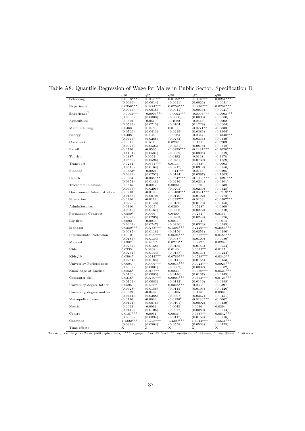|                           | q10          | q25                     | q50          | q75          | q90          |
|---------------------------|--------------|-------------------------|--------------|--------------|--------------|
| Schooling                 | $0.0118***$  | $0.0126***$             | $0.0122***$  | $0.0180***$  | $0.0251***$  |
|                           | (0.0039)     | (0.0014)                | (0.0021)     | (0.0026)     | (0.0031)     |
| Experience                | $0.0356***$  | $0.0274***$             | $0.0259***$  | $0.0270***$  | $0.0267***$  |
|                           | (0.0046)     | (0.0018)                | (0.0011)     | (0.0013)     | (0.0021)     |
| Experience <sup>2</sup>   | $-0.0005***$ | $-0.0003***$            | $-0.0003***$ | $-0.0003***$ | $-0.0003***$ |
|                           | (0.0000)     | (0.0000)                | (0.0000)     | (0.0000)     | (0.0000)     |
|                           |              |                         |              |              |              |
| Agriculture               | $-0.0372$    | $-0.0510$               | $-0.1082$    | $-0.0548$    | $-0.0602$    |
|                           | (0.0583)     | (0.0713)                | (0.0704)     | (0.1229)     | (0.0604)     |
| Manufacturing             | 0.0463       | 0.0482                  | 0.0111       | $-0.0771**$  | $-0.0833$    |
|                           | (0.0799)     | (0.0413)                | (0.0249)     | (0.0386)     | (0.1464)     |
| Energy                    | 0.0408       | 0.0349                  | $-0.0284$    | $-0.0347$    | $-0.1340***$ |
|                           | (0.0747)     | (0.0288)                | (0.0273)     | (0.0334)     | (0.0339)     |
| Construction              | $-0.0611$    | 0.0730                  | 0.0287       | 0.0131       | $-0.0203$    |
|                           | (0.0975)     | (0.0523)                | (0.0431)     | (0.0876)     | (0.0512)     |
| Retail                    | $-0.0726$    | $-0.0506$               | $-0.0895***$ | $-0.1487***$ | $-0.2026***$ |
|                           | (0.1131)     | (0.0581)                | (0.0339)     | (0.0395)     | (0.0319)     |
| Tourism                   | $-0.0387$    | 0.0052                  | $-0.0492$    | $-0.0198$    | $-0.1178$    |
|                           |              |                         |              |              |              |
| Transport                 | (0.0882)     | (0.0596)<br>$0.0551***$ | (0.0431)     | (0.0730)     | (0.1389)     |
|                           | $-0.0254$    |                         | 0.0113       | $0.0533*$    | $-0.0003$    |
|                           | (0.0518)     | (0.0164)                | (0.0217)     | (0.0312)     | (0.0256)     |
| Finance                   | $-0.0683*$   | $-0.0024$               | $-0.0447**$  | $-0.0148$    | $-0.0295$    |
|                           | (0.0399)     | (0.0252)                | (0.0184)     | (0.0397)     | (0.1303)     |
| Health                    | $-0.0364$    | $-0.0365**$             | $-0.0747***$ | $-0.1033***$ | $-0.1391***$ |
|                           | (0.0351)     | (0.0148)                | (0.0216)     | (0.0234)     | (0.0301)     |
| Telecommunication         | $-0.0515$    | $-0.0212$               | 0.0092       | 0.0350       | $-0.0139$    |
|                           | (0.0467)     | (0.0295)                | (0.0205)     | (0.0230)     | (0.0328)     |
| Government Administration | $-0.0213$    | $-0.0108$               | $-0.0400***$ | $-0.0591***$ | $-0.0719***$ |
|                           | (0.0166)     | (0.0070)                | (0.0140)     | (0.0192)     | (0.0272)     |
| Education                 | $-0.0236$    | $-0.0112$               | $-0.0357**$  | $-0.0263$    | $-0.0587***$ |
|                           |              |                         |              |              |              |
|                           | (0.0220)     | (0.0143)                | (0.0158)     | (0.0170)     | (0.0158)     |
| AdminServices             | $-0.0190$    | 0.0205                  | 0.0369       | $0.0528*$    | $-0.0160$    |
|                           | (0.0349)     | (0.0161)                | (0.0306)     | (0.0272)     | (0.0310)     |
| Permanent Contract        | $0.0550*$    | 0.0066                  | 0.0400       | 0.0274       | 0.0156       |
|                           | (0.0323)     | (0.0203)                | (0.0283)     | (0.0249)     | (0.0276)     |
| Big firm                  | 0.0092       | $-0.0033$               | 0.0211       | 0.0094       | $-0.0014$    |
|                           | (0.0362)     | (0.0247)                | (0.0296)     | (0.0323)     | (0.0389)     |
| Manager                   | $0.0250***$  | $0.0783***$             | $0.1396***$  | $0.2126***$  | $0.2584***$  |
|                           | (0.0085)     | (0.0118)                | (0.0156)     | (0.0251)     | (0.0296)     |
| Intermediate Profession   | 0.0110       | $0.0529***$             | $0.0594***$  | $0.0552***$  | $0.0485***$  |
|                           | (0.0185)     | (0.0134)                | (0.0087)     | (0.0109)     | (0.0080)     |
|                           |              |                         |              |              |              |
| Married                   | $_{0.0387}$  | $0.0267*$               | $0.0278**$   | $0.0272*$    | 0.0202       |
|                           | (0.0267)     | (0.0158)                | (0.0135)     | (0.0143)     | (0.0254)     |
| Kids                      | 0.0333       | 0.0208                  | 0.0140       | $0.0323**$   | 0.0111       |
|                           | (0.0254)     | (0.0144)                | (0.0157)     | (0.0133)     | (0.0224)     |
| Kids_10                   | $0.0504*$    | $0.0514***$             | $0.0789***$  | $0.0539***$  | $0.0340**$   |
|                           | (0.0264)     | (0.0184)                | (0.0141)     | (0.0155)     | (0.0153)     |
| University Performance    | 0.0004       | $0.0006***$             | $0.0014***$  | $0.0023***$  | $0.0023***$  |
|                           | (0.0003)     | (0.0001)                | (0.0002)     | (0.0002)     | (0.0002)     |
| Knowledge of English      | $0.0256*$    | $0.0187**$              | 0.0233       | $0.0360***$  | $0.0523***$  |
|                           | (0.0136)     | (0.0083)                | (0.0146)     | (0.0137)     | (0.0149)     |
|                           |              |                         |              |              |              |
| Computer skill            | $0.0318*$    | $0.0730***$             | $0.0903***$  | $0.0673***$  | $0.0724***$  |
|                           | (0.0162)     | (0.0083)                | (0.0112)     | (0.0119)     | (0.0198)     |
| University degree father  | 0.0595       | $0.0268*$               | $0.0348***$  | $-0.0308$    | $-0.0397$    |
|                           | (0.0428)     | (0.0156)                | (0.0115)     | (0.0193)     | (0.0426)     |
| University degree mother  | $-0.0339$    | $-0.0407$               | $-0.0485$    | 0.0128       | 0.0369       |
|                           | (0.0441)     | (0.0388)                | (0.0397)     | (0.0367)     | (0.0451)     |
| Metropolitan area         | $-0.0116$    | $-0.0084$               | $-0.0196*$   | $-0.0286***$ | $-0.0062$    |
|                           | (0.0174)     | (0.0076)                | (0.0101)     | (0.0092)     | (0.0139)     |
| North                     |              |                         |              |              |              |
|                           | $-0.0093$    | $-0.0063$               | $-0.0043$    | 0.0046       | 0.0294       |
|                           | (0.0119)     | (0.0106)                | (0.0077)     | (0.0080)     | (0.0214)     |
| Centre                    | $0.0187***$  | $-0.0051$               | 0.0036       | $0.0387**$   | $0.0842***$  |
|                           | (0.0068)     | (0.0094)                | (0.0117)     | (0.0159)     | (0.0218)     |
| Constant                  | $1.1322***$  | $1.3228***$             | $1.4399***$  | $1.4944***$  | $1.5631***$  |
|                           | (0.0898)     | (0.0504)                | (0.0558)     | (0.0533)     | (0.0425)     |
| Time effects              | Х            | Х                       | Х            | Х            | Х            |
|                           |              |                         |              |              |              |

#### Table A8: Quantile Regression of Wage for Males in Public Sector. Specification D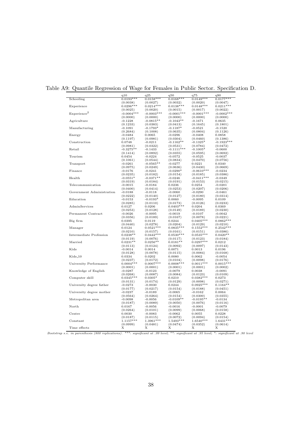|                           | q10          | q25          | q50          | q75                     | q90          |
|---------------------------|--------------|--------------|--------------|-------------------------|--------------|
| Schooling                 | $0.0193***$  | $0.0158***$  | $0.0168***$  | $0.0149***$             | $0.0177***$  |
|                           | (0.0038)     | (0.0027)     | (0.0032)     | (0.0020)                | (0.0047)     |
| Experience                | $0.0296***$  | $0.0214***$  | $0.0138***$  | $0.0148***$             | $0.0211***$  |
|                           | (0.0025)     | (0.0020)     | (0.0015)     | (0.0017)                | (0.0022)     |
| Experience <sup>2</sup>   | $-0.0004***$ | $-0.0003***$ | $-0.0001***$ | $-0.0001***$            | $-0.0002***$ |
|                           | (0.0000)     | (0.0000)     | (0.0000)     | (0.0000)                | (0.0000)     |
| Agriculture               | $-0.1228$    | $-0.0815**$  | $-0.1043**$  | $-0.1671$               | 0.0635       |
|                           | (0.1233)     | (0.0383)     | (0.0413)     | (0.1645)                | (0.1801)     |
| Manufacturing             | $-0.1091$    | $-0.1793*$   | $-0.1187*$   | $-0.0521$               | $-0.1520$    |
|                           | (0.2684)     | (0.1008)     | (0.0635)     | (0.0804)                | (0.1126)     |
| Energy                    | $-0.0484$    | 0.0065       | $-0.0296$    | $-0.0408$               | 0.0858       |
|                           | (0.1197)     | (0.0981)     | (0.0304)     | (0.0460)                | (0.1386)     |
| Construction              | 0.0748       | $-0.0211$    | $-0.1162**$  | $-0.1325*$              | $-0.1923***$ |
|                           | (0.0981)     | (0.0322)     | (0.0531)     | (0.0784)                | (0.0472)     |
| Retail                    | $-0.3275**$  | $-0.1433$    | $-0.1111***$ | $-0.1005*$              | $-0.0600$    |
|                           | (0.1414)     | (0.0892)     | (0.0355)     | (0.0595)                | (0.0692)     |
| Tourism                   | 0.0454       | $-0.0224$    | $-0.0572$    | $-0.0525$               | $-0.0037$    |
|                           |              |              |              |                         |              |
|                           | (0.1061)     | (0.0544)     | (0.0834)     | (0.0470)                | (0.0756)     |
| Transport                 | $-0.0261$    | $-0.0565**$  | $-0.0277$    | 0.0221                  | 0.0340       |
|                           | (0.0975)     | (0.0249)     | (0.0636)     | (0.0430)                | (0.0669)     |
| Finance                   | $-0.0176$    | $-0.0241$    | $-0.0290*$   | $-0.0610***$            | $-0.0234$    |
|                           | (0.0235)     | (0.0182)     | (0.0154)     | (0.0185)                | (0.0386)     |
| Health                    | $-0.0551*$   | $-0.0371**$  | $-0.0246$    | $-0.0411***$            | $-0.0349$    |
|                           | (0.0319)     | (0.0184)     | (0.0191)     | (0.0153)                | (0.0215)     |
| Telecommunication         | $-0.0015$    | $-0.0184$    | 0.0236       | 0.0254                  | $-0.0201$    |
|                           | (0.0400)     | (0.0414)     | (0.0253)     | (0.0207)                | (0.0206)     |
| Government Administration | $-0.0188$    | $-0.0118$    | $-0.0060$    | $-0.0290$               | $-0.0461$    |
|                           | (0.0222)     | (0.0140)     | (0.0127)     | (0.0180)                | (0.0314)     |
| Education                 | $-0.0153$    | $-0.0193*$   | 0.0060       | $-0.0095$               | 0.0109       |
|                           | (0.0285)     | (0.0110)     | (0.0173)     | (0.0126)                | (0.0233)     |
| AdminServices             | 0.0127       | 0.0206       | $0.0403***$  | 0.0204                  | 0.0369       |
|                           | (0.0253)     | (0.0128)     | (0.0149)     | (0.0189)                | (0.0230)     |
| Permanent Contract        | $-0.0026$    | $-0.0095$    | $-0.0019$    | $-0.0107$               | $-0.0042$    |
|                           | (0.0356)     | (0.0189)     | (0.0167)     | (0.0078)                | (0.0221)     |
| Big firm                  | 0.0395       | 0.0119       | 0.0244       | $0.0405***$             | $0.0862***$  |
|                           | (0.0440)     | (0.0278)     | (0.0204)     |                         | (0.0210)     |
| Manager                   | 0.0124       | $0.0521***$  | $0.0835***$  | (0.0129)<br>$0.1552***$ | $0.2542***$  |
|                           |              |              |              |                         |              |
|                           | (0.0210)     | (0.0157)     | (0.0161)     | (0.0151)                | (0.0386)     |
| Intermediate Profession   | $0.0238**$   | $0.0442***$  | $0.0530***$  | $0.0535***$             | $0.0420**$   |
|                           | (0.0119)     | (0.0076)     | (0.0117)     | (0.0123)                | (0.0184)     |
| Married                   | $0.0231**$   | $0.0256**$   | $0.0181**$   | $0.0297***$             | 0.0212       |
|                           | (0.0113)     | (0.0124)     | (0.0092)     | (0.0097)                | (0.0143)     |
| Kids                      | $-0.0014$    | 0.0014       | 0.0071       | 0.0013                  | 0.0196       |
|                           | (0.0128)     | (0.0078)     | (0.0115)     | (0.0084)                | (0.0168)     |
| Kids_10                   | 0.0334       | 0.0202       | 0.0080       | 0.0062                  | $-0.0054$    |
|                           | (0.0237)     | (0.0172)     | (0.0104)     | (0.0098)                | (0.0176)     |
| University Performance    | $0.0004***$  | $0.0007***$  | $0.0008***$  | $0.0011***$             | $0.0015***$  |
|                           | (0.0001)     | (0.0001)     | (0.0001)     | (0.0001)                | (0.0002)     |
| Knowledge of English      | $-0.0287$    | $-0.0123$    | $-0.0079$    | 0.0038                  | $-0.0091$    |
|                           | (0.0268)     | (0.0087)     | (0.0084)     | (0.0123)                | (0.0109)     |
| Computer skill            | $0.0345***$  | $0.0305*$    | 0.0210       | $0.0382***$             | 0.0273       |
|                           | (0.0131)     | (0.0174)     | (0.0129)     | (0.0098)                | (0.0271)     |
| University degree father  | $-0.0273$    | $-0.0030$    | 0.0244       | $0.0925***$             | $0.1164**$   |
|                           |              |              |              |                         |              |
|                           | (0.0177)     | (0.0217)     | (0.0154)     | (0.0188)                | (0.0451)     |
| University degree mother  | $-0.0237$    | $-0.0189$    | $-0.0065$    | $-0.0162$               | 0.0064       |
|                           | (0.0564)     | (0.0264)     | (0.0154)     | (0.0300)                | (0.0355)     |
| Metropolitan area         | $-0.0098$    | $-0.0056$    | $-0.0109**$  | $-0.0195**$             | $-0.0134$    |
|                           | (0.0187)     | (0.0089)     | (0.0050)     | (0.0076)                | (0.0116)     |
| North                     | 0.0167       | $-0.0056$    | $-0.0016$    | $-0.0001$               | $-0.0079$    |
|                           | (0.0264)     | (0.0101)     | (0.0099)     | (0.0068)                | (0.0158)     |
| Centre                    | 0.0030       | $-0.0083$    | $-0.0062$    | 0.0055                  | 0.0228       |
|                           | (0.0187)     | (0.0115)     | (0.0072)     | (0.0094)                | (0.0154)     |
| Constant                  | $1.1157***$  | $1.3961***$  | 1.5493***    | $1.6540***$             | $1.6431***$  |
|                           | (0.0999)     | (0.0481)     | (0.0474)     | (0.0352)                | (0.0614)     |
| Time effects              | Х            | Х            | Х            | Х                       | Х            |
|                           |              |              |              |                         |              |

#### Table A9: Quantile Regression of Wage for Females in Public Sector. Specification D.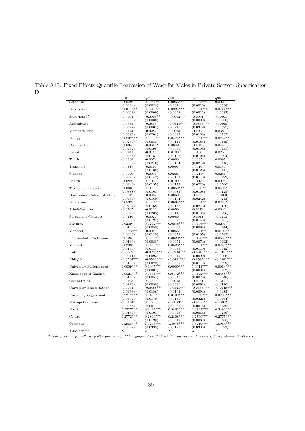|                           | q10          | q25                   | q50          | q75           | q90          |
|---------------------------|--------------|-----------------------|--------------|---------------|--------------|
| Schooling                 | $0.0049**$   | $0.006\overline{1**}$ | $0.0056***$  | $0.0053***$   | 0.0029       |
|                           | (0.0024)     | (0.0024)              | (0.0011)     | (0.0020)      | (0.0038)     |
| Experience                | $0.0311***$  | $0.0247***$           | $0.0224***$  | $0.0204***$   | $0.0172***$  |
|                           | (0.0023)     | (0.0009)              | (0.0008)     | (0.0016)      | (0.0032)     |
| Experience <sup>2</sup>   | $-0.0004***$ | $-0.0003***$          | $-0.0002***$ | $-0.0001***$  | $-0.0001$    |
|                           | (0.0000)     | (0.0000)              | (0.0000)     | (0.0000)      | (0.0000)     |
| Agriculture               | $-0.0765$    | -0.0854               | $-0.0644***$ | $-0.0846$ *** | $-0.1066$    |
|                           | (0.0577)     | (0.0607)              | (0.0215)     | (0.0319)      | (0.0727)     |
| Manufacturing             | $-0.0174$    | $-0.0282$             | $-0.0008$    | $-0.0032$     | 0.0381       |
|                           | (0.0393)     | (0.0204)              | (0.0083)     | (0.0133)      | (0.0332)     |
| Energy                    | $0.0807***$  | $0.0367***$           | $0.0474***$  | $0.0551***$   | $0.0752**$   |
|                           | (0.0234)     | (0.0088)              | (0.0119)     | (0.0183)      | (0.0349)     |
| Construction              | 0.0034       | $-0.0331*$            | 0.0042       | $-0.0049$     | 0.0450       |
|                           | (0.0462)     | (0.0196)              | (0.0060)     | (0.0194)      | (0.0531)     |
| Retail                    | $-0.0141$    | $-0.0135$             | 0.0103       | 0.0130        | 0.0262       |
|                           | (0.0355)     | (0.0151)              | (0.0107)     | (0.0124)      | (0.0194)     |
| Tourism                   | $-0.0338$    | $-0.0074$             | 0.0003       | 0.0085        | 0.0395       |
|                           | (0.0386)     | (0.0216)              | (0.0124)     | (0.0212)      | (0.0316)     |
| Transport                 | $-0.0317$    | $-0.0105$             | 0.0097       | 0.0016        | 0.0137       |
|                           | (0.0363)     | (0.0139)              | (0.0090)     | (0.0123)      | (0.0311)     |
| Finance                   | $-0.0040$    | $-0.0036$             | 0.0201       | $0.0218*$     | 0.0246       |
|                           | (0.0393)     | (0.0142)              | (0.0133)     | (0.0118)      | (0.0272)     |
| Health                    | 0.0082       | 0.0010                | 0.0109       | 0.0118        | 0.0095       |
|                           | (0.0448)     | (0.0195)              | (0.0173)     | (0.0220)      | (0.0566)     |
| Telecommunication         | 0.0060       | 0.0160                | $0.0359***$  | $0.0220**$    | $0.0407*$    |
|                           | (0.0388)     | (0.0163)              | (0.0083)     | (0.0108)      | (0.0225)     |
| Government Administration | $-0.0047$    | $-0.0032$             | 0.0050       | $-0.0153$     | $-0.0003$    |
|                           | (0.0443)     | (0.0160)              | (0.0104)     | (0.0242)      | (0.0243)     |
| Education                 | 0.0532       | $0.0661***$           | $0.0694***$  | $0.0631**$    | $0.0778*$    |
|                           |              |                       |              |               |              |
| AdminServices             | (0.0404)     | (0.0168)              | (0.0166)     | (0.0273)      | (0.0420)     |
|                           | $-0.0205$    | $-0.0110$             | 0.0050       | $-0.0174$     | 0.0341       |
|                           | (0.0348)     | (0.0238)              | (0.0118)     | (0.0185)      | (0.0595)     |
| Permanent Contract        | $-0.0416$    | $-0.0027$             | 0.0086       | $-0.0011$     | $-0.0313$    |
|                           | (0.0296)     | (0.0127)              | (0.0071)     | (0.0140)      | (0.0261)     |
| Big firm                  | $0.0239**$   | $0.0242***$           | $0.0278***$  | $0.0336***$   | 0.0291       |
|                           | (0.0100)     | (0.0059)              | (0.0052)     | (0.0094)      | (0.0244)     |
| Manager                   | $-0.0698**$  | $-0.0053$             | 0.0066       | $0.0241**$    | $0.0709**$   |
|                           | (0.0306)     | (0.0119)              | (0.0078)     | (0.0105)      | (0.0283)     |
| Intermediate Profession   | 0.0125       | $0.0292***$           | $0.0329***$  | $0.0428***$   | $0.0558***$  |
|                           | (0.0130)     | (0.0088)              | (0.0053)     | (0.0074)      | (0.0092)     |
| Married                   | $0.0298*$    | $0.0458***$           | $0.0526***$  | $0.0591***$   | $0.0740***$  |
|                           | (0.0159)     | (0.0111)              | (0.0068)     | (0.0119)      | (0.0112)     |
| Kids                      | $-0.0307$    | $-0.0251***$          | $-0.0236***$ | $-0.0315***$  | $-0.0351***$ |
|                           | (0.0211)     | (0.0093)              | (0.0049)     | (0.0099)      | (0.0106)     |
| $Kids_10$                 | $-0.0534***$ | $-0.0582***$          | $-0.0491***$ | $-0.0595***$  | $-0.0981***$ |
|                           | (0.0192)     | (0.0072)              | (0.0069)     | (0.0119)      | (0.0229)     |
| University Performance    | $0.0009***$  | $0.0007***$           | $0.0009***$  | $0.0011***$   | $0.0014***$  |
|                           | (0.0003)     | (0.0001)              | (0.0001)     | (0.0001)      | (0.0002)     |
| Knowledge of English      | $0.0521***$  | $0.0483***$           | $0.0472***$  | $0.0472***$   | $0.0488***$  |
|                           | (0.0136)     | (0.0051)              | (0.0046)     | (0.0078)      | (0.0148)     |
| Computer skill            | $-0.0195$    | 0.0082                | $-0.0068$    | $-0.0161*$    | $-0.0311$    |
|                           | (0.0216)     | (0.0098)              | (0.0086)     | (0.0092)      | (0.0416)     |
| University degree father  | $-0.0004$    | $-0.0488***$          | $-0.0525***$ | $-0.0565***$  | $-0.0649***$ |
|                           | (0.0433)     | (0.0156)              | (0.0103)     | (0.0094)      | (0.0183)     |
| University degree mother  | $0.2217***$  | $0.3180***$           | $0.3109***$  | $0.3059***$   | $0.3781***$  |
|                           | (0.0507)     | (0.0170)              | (0.0130)     | (0.0321)      | (0.0664)     |
| Metropolitan area         | $-0.0154*$   | 0.0025                | $-0.0083**$  | $-0.0166**$   | $-0.0002$    |
|                           | (0.0086)     | (0.0077)              | (0.0035)     | (0.0075)      | (0.0159)     |
| North                     | $0.3527***$  | $0.3497***$           | $0.3461***$  | $0.3432***$   | $0.3493***$  |
|                           |              |                       |              |               |              |
|                           | (0.0144)     | (0.0103)              | (0.0068)     | (0.0064)      | (0.0236)     |
| Centre                    | $0.2772***$  | $0.2890***$           | $0.2808***$  | $0.2796***$   | $0.2775***$  |
|                           | (0.0268)     | (0.0120)              | (0.0049)     | (0.0069)      | (0.0286)     |
| Constant                  | 1.2965***    | $1.3236***$           | 1.4078***    | $1.5219***$   | $1.6944***$  |
|                           | (0.0382)     | (0.0335)              | (0.0199)     | (0.0385)      | (0.0793)     |
| Time effects              | Х            | Х                     | Х            | Х             | Х            |

Table A10: Fixed Effects Quantile Regression of Wage for Males in Private Sector. Specification D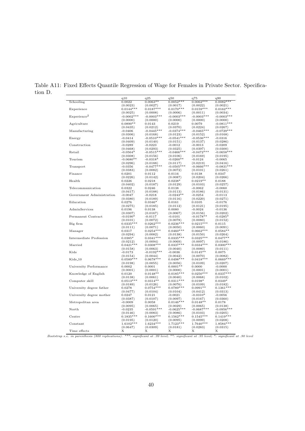|                                                | q10          | q25          | q50           | q75          | q90          |
|------------------------------------------------|--------------|--------------|---------------|--------------|--------------|
| Schooling                                      | 0.0022       | $0.0063**$   | $0.0052***$   | $0.0062***$  | $0.0082***$  |
|                                                | (0.0023)     | (0.0027)     | (0.0017)      | (0.0022)     | (0.0021)     |
| Experience                                     | $0.0144***$  | $0.0187***$  | $0.0170***$   | $0.0159***$  | $0.0162***$  |
|                                                | (0.0025)     | (0.0008)     | (0.0006)      | (0.0011)     | (0.0034)     |
| Experience <sup>2</sup>                        | $-0.0002***$ | $-0.0003***$ | $-0.0003***$  | $-0.0003***$ | $-0.0003***$ |
|                                                | (0.0000)     | (0.0000)     | (0.0000)      | (0.0000)     | (0.0000)     |
| Agriculture                                    | $0.0890**$   | 0.0143       | 0.0219        | 0.0079       | $-0.0811***$ |
|                                                | (0.0435)     | (0.0212)     | (0.0370)      | (0.0224)     | (0.0267)     |
| Manufacturing                                  | $-0.0406$    | $-0.0445***$ | $-0.0374***$  | $-0.0465***$ | $-0.0729***$ |
|                                                | (0.0306)     | (0.0168)     | (0.0123)      | (0.0152)     | (0.0168)     |
| Energy                                         | $-0.0414$    | $-0.0510***$ | $-0.0541***$  | $-0.0536***$ | $-0.0316$    |
|                                                | (0.0409)     | (0.0140)     | (0.0151)      | (0.0137)     | (0.0286)     |
| Construction                                   | $-0.0289$    | $-0.0223$    | -0.0012       | $-0.0013$    | $-0.0209$    |
|                                                | (0.0468)     | (0.0293)     | (0.0325)      | (0.0397)     | (0.0300)     |
| Retail                                         | $-0.0564*$   | $-0.0515**$  | $-0.0466$ *** | $-0.0472***$ | $-0.0658***$ |
|                                                | (0.0308)     | (0.0156)     | (0.0106)      | (0.0169)     | (0.0195)     |
| Tourism                                        | $-0.0680**$  | $-0.0318*$   | $-0.0260**$   | $-0.0124$    | $-0.0065$    |
|                                                | (0.0296)     | (0.0188)     | (0.0117)      | (0.0219)     | (0.0416)     |
| Transport                                      | $-0.0356$    | $-0.0477***$ | $-0.0505***$  | $-0.0666***$ | $-0.0831***$ |
|                                                | (0.0383)     | (0.0082)     | (0.0072)      | (0.0101)     | (0.0261)     |
| Finance                                        | 0.0201       | 0.0112       | 0.0116        | 0.0138       | 0.0347       |
|                                                | (0.0226)     | (0.0142)     | (0.0087)      | (0.0204)     | (0.0266)     |
| Health                                         | 0.0226       | 0.0218       | $0.0238*$     | $0.0219**$   | 0.0188       |
|                                                | (0.0402)     | (0.0187)     | (0.0129)      | (0.0103)     | (0.0257)     |
| Telecommunication<br>Government Administration | 0.0322       | 0.0246       | 0.0138        | $-0.0062$    | $-0.0060$    |
|                                                | (0.0417)     | (0.0188)     | (0.0113)      | (0.0186)     | (0.0131)     |
|                                                | $-0.0047$    | $-0.0218$    | $-0.0243**$   | $-0.0254$    | $-0.0113$    |
|                                                | (0.0380)     | (0.0189)     | (0.0116)      | (0.0220)     | (0.0271)     |
| Education                                      | 0.0276       | $0.0346*$    | 0.0161        | 0.0105       | $-0.0176$    |
|                                                | (0.0275)     | (0.0185)     | (0.0112)      | (0.0121)     | (0.0195)     |
| AdminServices                                  | 0.0196       | 0.0138       | 0.0080        | $-0.0024$    | $-0.0136$    |
|                                                | (0.0307)     | (0.0167)     | (0.0067)      | (0.0156)     | (0.0202)     |
| Permanent Contract                             | $-0.0190*$   | $-0.0117$    | $-0.0101$     | $-0.0178**$  | $-0.0285*$   |
|                                                | (0.0101)     |              |               |              |              |
| Big firm                                       | $0.0335***$  | (0.0072)     | (0.0078)      | (0.0080)     | (0.0152)     |
|                                                |              | $0.0262***$  | $0.0236***$   | $0.0215***$  | 0.0115       |
|                                                | (0.0111)     | (0.0071)     | (0.0050)      | (0.0060)     | (0.0091)     |
| Manager                                        | 0.0317       | $0.0254***$  | $0.0460***$   | $0.0662***$  | $0.0584**$   |
|                                                | (0.0294)     | (0.0082)     | (0.0138)      | (0.0150)     | (0.0264)     |
| Intermediate Profession                        | $0.0385*$    | $0.0341***$  | $0.0335***$   | $0.0325***$  | $0.0477**$   |
|                                                | (0.0212)     | (0.0094)     | (0.0069)      | (0.0097)     | (0.0186)     |
| Married                                        | $0.0421***$  | $0.0308***$  | $0.0337***$   | $0.0334***$  | $0.0300***$  |
| Kids                                           | (0.0158)     | (0.0063)     | (0.0040)      | (0.0080)     | (0.0111)     |
|                                                | $-0.0173$    | $-0.0192***$ | $-0.0036$     | $0.0145**$   | 0.0075       |
| $Kids_10$                                      | (0.0154)     | (0.0044)     | (0.0042)      | (0.0070)     | (0.0082)     |
|                                                | $0.0589***$  | $0.0678***$  | $0.0498***$   | $0.0418***$  | $0.0669***$  |
|                                                | (0.0198)     | (0.0055)     | (0.0056)      | (0.0109)     | (0.0207)     |
| University Performance<br>Knowledge of English | 0.0002       | 0.0001       | $0.0001**$    | 0.0000       | $-0.0000$    |
|                                                | (0.0001)     | (0.0001)     | (0.0000)      | (0.0001)     | (0.0001)     |
|                                                | 0.0120       | $0.0148**$   | $0.0185***$   | $0.0250***$  | $0.0337***$  |
|                                                | (0.0138)     | (0.0061)     | (0.0040)      | (0.0068)     | (0.0102)     |
| Computer skill                                 | $0.0513***$  | $0.0314**$   | $0.0311***$   | $0.0198*$    | $0.0349*$    |
| University degree father                       | (0.0189)     | (0.0126)     | (0.0076)      | (0.0109)     | (0.0182)     |
|                                                | 0.0278       | $0.0754***$  | $0.0789***$   | $0.0991**$   | $0.1361***$  |
|                                                | (0.0477)     | (0.0104)     | (0.0104)      | (0.0412)     | (0.0313)     |
| University degree mother                       | 0.0247       | 0.0121       | $-0.0021$     | $-0.0310*$   | $-0.0056$    |
|                                                | (0.0387)     | (0.0107)     | (0.0097)      | (0.0167)     | (0.0360)     |
| Metropolitan area                              | $-0.0009$    | 0.0058       | $0.0146***$   | $0.0148**$   | 0.0178       |
|                                                | (0.0095)     | (0.0065)     | (0.0029)      | (0.0065)     | (0.0138)     |
| North                                          |              |              | $-0.0625***$  | $-0.0687***$ | $-0.0956***$ |
|                                                | $-0.0235$    | $-0.0591***$ |               |              |              |
|                                                | (0.0146)     | (0.0083)     | (0.0086)      | (0.0103)     | (0.0205)     |
| Centre                                         | $0.1835***$  | $0.1600***$  | $0.1562***$   | $0.1545***$  | $0.1419***$  |
|                                                | (0.0195)     | (0.0120)     | (0.0095)      | (0.0099)     | (0.0208)     |
| Constant                                       | $1.6102***$  | $1.6234***$  | $1.7123***$   | 1.7640***    | $1.8584***$  |
|                                                | (0.0647)     | (0.0309)     | (0.0181)      | (0.0283)     | (0.0315)     |
| Time effects                                   | Х            | Х            | Х             | Х            | Χ            |

Table A11: Fixed Effects Quantile Regression of Wage for Females in Private Sector. Specification D.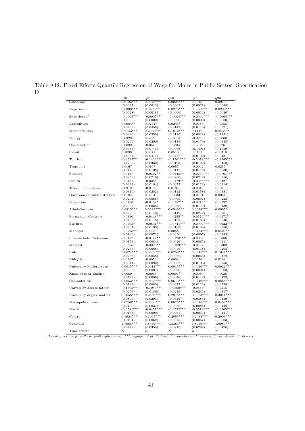|                                                             | q10<br>$0.0123***$ | $\rm q25$<br>$0.0046***$ | q50<br>$0.0025***$      | q75<br>0.0018 | q90          |
|-------------------------------------------------------------|--------------------|--------------------------|-------------------------|---------------|--------------|
| Schooling                                                   |                    |                          |                         |               | 0.0010       |
|                                                             | (0.0027)           | (0.0013)                 | (0.0009)                | (0.0021)      | (0.0044)     |
| Experience                                                  | $0.0303***$        | $0.0289***$              | $0.0273***$             | $0.0271***$   | $0.0292***$  |
|                                                             | (0.0028)           | (0.0018)                 | (0.0006)                | (0.0012)      | (0.0030)     |
| Experience <sup>2</sup>                                     | $-0.0005***$       | $-0.0005***$             | $-0.0004***$            | $-0.0004***$  | $-0.0004***$ |
|                                                             | (0.0000)           | (0.0000)                 | (0.0000)                | (0.0000)      | (0.0000)     |
| Agriculture                                                 | $0.0964**$         | $0.0764*$                | $0.0244*$               | $-0.0185$     | $-0.0555$    |
|                                                             | (0.0488)           | (0.0458)                 | (0.0142)                | (0.0118)      | (0.0521)     |
| Manufacturing                                               | $0.2143***$        | $0.2038***$              | $0.1812***$             | 0.1117        | $0.2435**$   |
|                                                             | (0.0440)           | (0.0356)                 | (0.0129)                | (0.0828)      | (0.1151)     |
| Energy                                                      | 0.0323             | 0.0222                   | $-0.0014$               | $-0.0253$     | $-0.0066$    |
|                                                             | (0.0299)           | (0.0200)                 | (0.0139)                | (0.0170)      | (0.0445)     |
| Construction                                                | 0.0092             | $-0.0540$                | $-0.0334$               | 0.0206        | $-0.0261$    |
|                                                             | (0.0685)           | (0.0775)                 | (0.0966)                | (0.1491)      | (0.1559)     |
| Retail                                                      | 0.1099             | 0.0071                   | 0.0513                  | 0.0161        | $-0.0318$    |
|                                                             | (0.1387)           | (0.0411)                 | (0.0477)                | (0.0190)      | (0.0431)     |
| Tourism                                                     | $-0.3593**$        | $-0.1433***$             | $-0.1561***$            | $-0.2078***$  | $-0.2285***$ |
|                                                             | (0.1739)           | (0.0360)                 | (0.0123)                | (0.0129)      | (0.0453)     |
| Transport                                                   | 0.0167             | 0.0107                   | 0.0057                  | $-0.0042$     | 0.0257       |
|                                                             | (0.0172)           | (0.0108)                 | (0.0117)                | (0.0175)      | (0.0230)     |
| Finance                                                     | $-0.0437$          | $-0.0502**$              | $-0.0645**$             | $-0.0630***$  | $-0.0701***$ |
|                                                             | (0.0958)           | (0.0216)                 | (0.0260)                | (0.0212)      | (0.0256)     |
| Health                                                      | $-0.0161$          | $-0.0268$                | $-0.0179**$             | $-0.0355***$  | $-0.0427$    |
|                                                             | (0.0323)           | (0.0184)                 | (0.0072)                | (0.0123)      | (0.0314)     |
| Telecommunication<br>Government Administration<br>Education | 0.0319             | $-0.0189$                | 0.0134                  | $-0.0018$     | $-0.0011$    |
|                                                             | (0.0319)           | (0.0252)                 | (0.0142)                | (0.0158)      | (0.0381)     |
|                                                             | 0.0184             | 0.0004                   | $-0.0033$               | $-0.0101$     | 0.0051       |
|                                                             | (0.0291)           | (0.0066)                 | (0.0065)                | (0.0097)      | (0.0223)     |
|                                                             | $-0.0106$          | $-0.0162*$               | $-0.0157**$             | $-0.0210*$    | $-0.0192$    |
|                                                             | (0.0338)           |                          |                         |               | (0.0139)     |
| AdminServices                                               | $0.0815***$        | (0.0085)                 | (0.0068)                | (0.0119)      |              |
|                                                             |                    | $0.0523***$              | $0.0549***$             | $0.0648***$   | $0.0695*$    |
|                                                             | (0.0290)           | (0.0143)                 | (0.0149)                | (0.0242)      | (0.0381)     |
| Permanent Contract                                          | $-0.0140$          | $-0.0443***$             | $-0.0255**$             | $-0.0570***$  | $-0.0473*$   |
| Big firm                                                    | (0.0408)           | (0.0118)                 | (0.0109)                | (0.0166)      | (0.0246)     |
|                                                             | $-0.0705*$         | $-0.0841***$             | $-0.0741***$            | $-0.0909***$  | $-0.0922***$ |
|                                                             | (0.0401)           | (0.0199)                 | (0.0183)                | (0.0188)      | (0.0250)     |
| Manager                                                     | $-0.0298**$        | 0.0035                   | 0.0058                  | $0.0434***$   | $0.0400**$   |
|                                                             | (0.0146)           | (0.0071)                 | (0.0056)                | (0.0095)      | (0.0183)     |
| Intermediate Profession                                     | $-0.0187$          | $-0.0174**$              | $-0.0128***$            | $-0.0062$     | $-0.0086$    |
|                                                             | (0.0174)           | (0.0084)                 | (0.0046)                | (0.0065)      | (0.0111)     |
| Married<br>Kids                                             | $-0.0305$          | $-0.0205**$              | $-0.0189***$            | $-0.0107$     | $-0.0309$    |
|                                                             | (0.0256)           | (0.0088)                 | (0.0055)                | (0.0118)      | (0.0203)     |
|                                                             | $0.0674***$        | $0.0669***$              | $0.0759***$             | $0.0841***$   | $0.1047***$  |
|                                                             | (0.0253)           | (0.0058)                 | (0.0062)                | (0.0066)      | (0.0172)     |
| $Kids_10$                                                   | $-0.0297$          | $-0.0050$                | 0.0008                  | $_{0.0076}$   | 0.0188       |
|                                                             | (0.0314)           | (0.0090)                 | (0.0062)                | (0.0108)      | (0.0286)     |
| University Performance                                      | $0.0015***$        | $0.0014***$              | $0.0015***$             | $0.0016***$   | $0.0022***$  |
|                                                             | (0.0003)           | (0.0001)                 | (0.0000)                | (0.0001)      | (0.0003)     |
| Knowledge of English                                        | 0.0069             | $-0.0065$                | $0.0091*$               | $-0.0080$     | $-0.0036$    |
|                                                             | (0.0142)           | (0.0086)                 | (0.0048)                | (0.0112)      | (0.0123)     |
| Computer skill                                              | $0.0653***$        | $0.0698***$              | $0.0673***$             | $0.0740***$   | $0.0868***$  |
|                                                             | (0.0133)           | (0.0080)                 | (0.0072)                | (0.0113)      | (0.0238)     |
| University degree father                                    | $-0.1305***$       | $-0.1053***$             | $-0.0860***$            | $-0.0456*$    | $-0.0515$    |
|                                                             | (0.0257)           | (0.0189)                 |                         | (0.0236)      | (0.0317)     |
| University degree mother                                    | $0.2658***$        | $0.2866***$              | (0.0219)<br>$0.2975***$ | $0.3053***$   | $0.3011***$  |
|                                                             |                    |                          |                         |               |              |
| Metropolitan area                                           | (0.0899)           | (0.0295)                 | (0.0346)                | (0.0383)      | (0.0359)     |
|                                                             | $0.0750***$        | $0.0686***$              | $0.0675***$             | $0.0616***$   | $0.0452***$  |
| North                                                       | (0.0130)           | (0.0031)                 | (0.0052)                | (0.0084)      | (0.0142)     |
|                                                             | $-0.0581***$       | $-0.0457***$             | $-0.0522***$            | $-0.0514***$  | $-0.0505***$ |
| Centre                                                      | (0.0168)           | (0.0090)                 | (0.0061)                | (0.0053)      | (0.0121)     |
|                                                             | $0.1924***$        | $0.2065***$              | $0.2055***$             | $0.2038***$   | $0.2003***$  |
|                                                             |                    | (0.0069)                 | (0.0075)                | (0.0067)      | (0.0203)     |
|                                                             | (0.0134)           |                          |                         |               |              |
| Constant                                                    | 1.7985 ***         | 1.8076***                | $1.8383***$             | 1.8979 ***    | 1.8989***    |
|                                                             | (0.0749)           | (0.0358)                 | (0.0215)                | (0.0299)      | (0.0476)     |

Table A12: Fixed Effects Quantile Regression of Wage for Males in Public Sector. Specification D